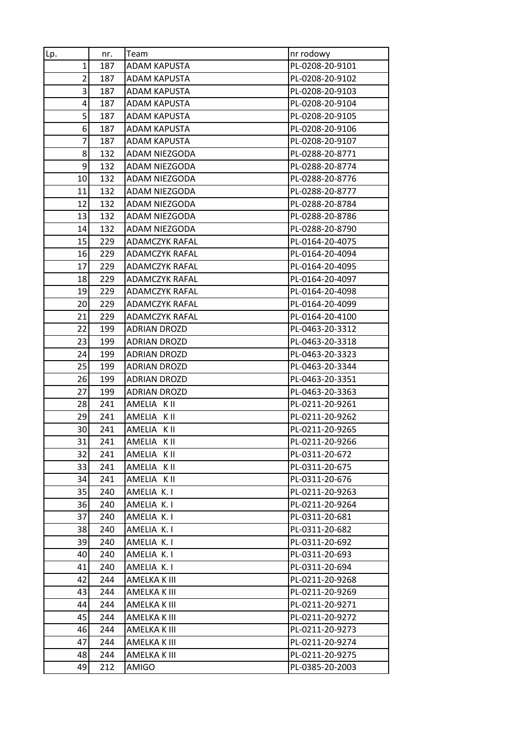| Lp.                     | nr. | Team                  | nr rodowy       |
|-------------------------|-----|-----------------------|-----------------|
| $\mathbf{1}$            | 187 | <b>ADAM KAPUSTA</b>   | PL-0208-20-9101 |
| $\overline{2}$          | 187 | <b>ADAM KAPUSTA</b>   | PL-0208-20-9102 |
| $\overline{\mathbf{3}}$ | 187 | <b>ADAM KAPUSTA</b>   | PL-0208-20-9103 |
| 4                       | 187 | ADAM KAPUSTA          | PL-0208-20-9104 |
| 5 <sup>1</sup>          | 187 | <b>ADAM KAPUSTA</b>   | PL-0208-20-9105 |
| 6                       | 187 | ADAM KAPUSTA          | PL-0208-20-9106 |
| 7                       | 187 | <b>ADAM KAPUSTA</b>   | PL-0208-20-9107 |
| 8                       | 132 | ADAM NIEZGODA         | PL-0288-20-8771 |
| 9                       | 132 | ADAM NIEZGODA         | PL-0288-20-8774 |
| 10                      | 132 | ADAM NIEZGODA         | PL-0288-20-8776 |
| 11                      | 132 | ADAM NIEZGODA         | PL-0288-20-8777 |
| 12                      | 132 | ADAM NIEZGODA         | PL-0288-20-8784 |
| 13                      | 132 | ADAM NIEZGODA         | PL-0288-20-8786 |
| 14                      | 132 | ADAM NIEZGODA         | PL-0288-20-8790 |
| 15                      | 229 | <b>ADAMCZYK RAFAL</b> | PL-0164-20-4075 |
| 16                      | 229 | <b>ADAMCZYK RAFAL</b> | PL-0164-20-4094 |
| 17                      | 229 | ADAMCZYK RAFAL        | PL-0164-20-4095 |
| 18                      | 229 | <b>ADAMCZYK RAFAL</b> | PL-0164-20-4097 |
| 19                      | 229 | <b>ADAMCZYK RAFAL</b> | PL-0164-20-4098 |
| 20                      | 229 | <b>ADAMCZYK RAFAL</b> | PL-0164-20-4099 |
| 21                      | 229 | <b>ADAMCZYK RAFAL</b> | PL-0164-20-4100 |
| 22                      | 199 | ADRIAN DROZD          | PL-0463-20-3312 |
| 23                      | 199 | <b>ADRIAN DROZD</b>   | PL-0463-20-3318 |
| 24                      | 199 | <b>ADRIAN DROZD</b>   | PL-0463-20-3323 |
| 25                      | 199 | <b>ADRIAN DROZD</b>   | PL-0463-20-3344 |
| 26                      | 199 | <b>ADRIAN DROZD</b>   | PL-0463-20-3351 |
| 27                      | 199 | <b>ADRIAN DROZD</b>   | PL-0463-20-3363 |
| 28                      | 241 | AMELIA K II           | PL-0211-20-9261 |
| 29                      | 241 | AMELIA KII            | PL-0211-20-9262 |
| 30                      | 241 | AMELIA KII            | PL-0211-20-9265 |
| 31                      | 241 | AMELIA K II           | PL-0211-20-9266 |
| 32                      | 241 | AMELIA KII            | PL-0311-20-672  |
| 33                      | 241 | AMELIA KII            | PL-0311-20-675  |
| 34                      | 241 | AMELIA KII            | PL-0311-20-676  |
| 35                      | 240 | AMELIA K.I            | PL-0211-20-9263 |
| 36                      | 240 | AMELIA K. I           | PL-0211-20-9264 |
| 37                      | 240 | AMELIA K. I           | PL-0311-20-681  |
| 38                      | 240 | AMELIA K.I            | PL-0311-20-682  |
| 39                      | 240 | AMELIA K.I            | PL-0311-20-692  |
| 40                      | 240 | AMELIA K. I           | PL-0311-20-693  |
| 41                      | 240 | AMELIA K.I            | PL-0311-20-694  |
| 42                      | 244 | AMELKA K III          | PL-0211-20-9268 |
| 43                      | 244 | AMELKA K III          | PL-0211-20-9269 |
| 44                      | 244 | AMELKA K III          | PL-0211-20-9271 |
| 45                      | 244 | AMELKA K III          | PL-0211-20-9272 |
| 46                      | 244 | AMELKA K III          | PL-0211-20-9273 |
| 47                      | 244 | AMELKA K III          | PL-0211-20-9274 |
| 48                      | 244 | AMELKA K III          | PL-0211-20-9275 |
| 49                      | 212 | AMIGO                 | PL-0385-20-2003 |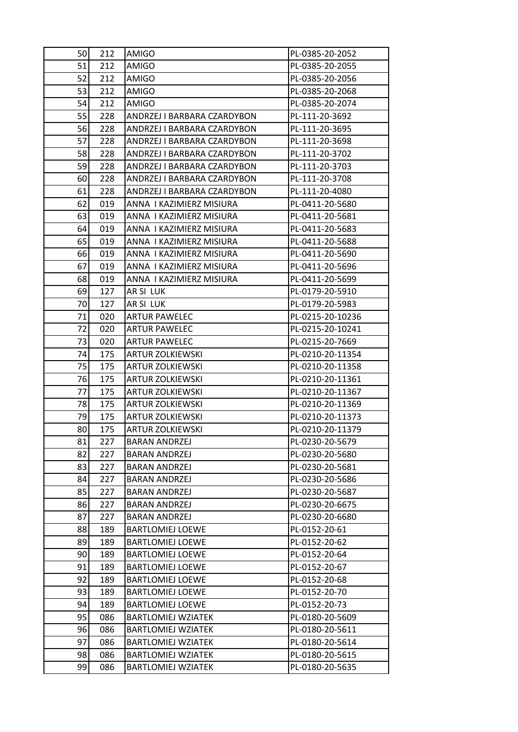| 50 | 212 | <b>AMIGO</b>                | PL-0385-20-2052  |
|----|-----|-----------------------------|------------------|
| 51 | 212 | <b>AMIGO</b>                | PL-0385-20-2055  |
| 52 | 212 | AMIGO                       | PL-0385-20-2056  |
| 53 | 212 | AMIGO                       | PL-0385-20-2068  |
| 54 | 212 | <b>AMIGO</b>                | PL-0385-20-2074  |
| 55 | 228 | ANDRZEJ I BARBARA CZARDYBON | PL-111-20-3692   |
| 56 | 228 | ANDRZEJ I BARBARA CZARDYBON | PL-111-20-3695   |
| 57 | 228 | ANDRZEJ I BARBARA CZARDYBON | PL-111-20-3698   |
| 58 | 228 | ANDRZEJ I BARBARA CZARDYBON | PL-111-20-3702   |
| 59 | 228 | ANDRZEJ I BARBARA CZARDYBON | PL-111-20-3703   |
| 60 | 228 | ANDRZEJ I BARBARA CZARDYBON | PL-111-20-3708   |
| 61 | 228 | ANDRZEJ I BARBARA CZARDYBON | PL-111-20-4080   |
| 62 | 019 | ANNA I KAZIMIERZ MISIURA    | PL-0411-20-5680  |
| 63 | 019 | ANNA I KAZIMIERZ MISIURA    | PL-0411-20-5681  |
| 64 | 019 | ANNA I KAZIMIERZ MISIURA    | PL-0411-20-5683  |
| 65 | 019 | ANNA I KAZIMIERZ MISIURA    | PL-0411-20-5688  |
| 66 | 019 | ANNA I KAZIMIERZ MISIURA    | PL-0411-20-5690  |
| 67 | 019 | ANNA I KAZIMIERZ MISIURA    | PL-0411-20-5696  |
| 68 | 019 | ANNA I KAZIMIERZ MISIURA    | PL-0411-20-5699  |
| 69 | 127 | AR SI LUK                   | PL-0179-20-5910  |
| 70 | 127 | AR SI LUK                   | PL-0179-20-5983  |
| 71 | 020 | <b>ARTUR PAWELEC</b>        | PL-0215-20-10236 |
| 72 | 020 | <b>ARTUR PAWELEC</b>        | PL-0215-20-10241 |
| 73 | 020 | <b>ARTUR PAWELEC</b>        | PL-0215-20-7669  |
| 74 | 175 | <b>ARTUR ZOLKIEWSKI</b>     | PL-0210-20-11354 |
| 75 | 175 | <b>ARTUR ZOLKIEWSKI</b>     | PL-0210-20-11358 |
| 76 | 175 | <b>ARTUR ZOLKIEWSKI</b>     | PL-0210-20-11361 |
| 77 | 175 | <b>ARTUR ZOLKIEWSKI</b>     | PL-0210-20-11367 |
| 78 | 175 | <b>ARTUR ZOLKIEWSKI</b>     | PL-0210-20-11369 |
| 79 | 175 | <b>ARTUR ZOLKIEWSKI</b>     | PL-0210-20-11373 |
| 80 | 175 | <b>ARTUR ZOLKIEWSKI</b>     | PL-0210-20-11379 |
| 81 | 227 | <b>BARAN ANDRZEJ</b>        | PL-0230-20-5679  |
| 82 | 227 | <b>BARAN ANDRZEJ</b>        | PL-0230-20-5680  |
| 83 | 227 | <b>BARAN ANDRZEJ</b>        | PL-0230-20-5681  |
| 84 | 227 | <b>BARAN ANDRZEJ</b>        | PL-0230-20-5686  |
| 85 | 227 | <b>BARAN ANDRZEJ</b>        | PL-0230-20-5687  |
| 86 | 227 | <b>BARAN ANDRZEJ</b>        | PL-0230-20-6675  |
| 87 | 227 | <b>BARAN ANDRZEJ</b>        | PL-0230-20-6680  |
| 88 | 189 | <b>BARTLOMIEJ LOEWE</b>     | PL-0152-20-61    |
| 89 | 189 | <b>BARTLOMIEJ LOEWE</b>     | PL-0152-20-62    |
| 90 | 189 | <b>BARTLOMIEJ LOEWE</b>     | PL-0152-20-64    |
| 91 | 189 | <b>BARTLOMIEJ LOEWE</b>     | PL-0152-20-67    |
| 92 | 189 | <b>BARTLOMIEJ LOEWE</b>     | PL-0152-20-68    |
| 93 | 189 | <b>BARTLOMIEJ LOEWE</b>     | PL-0152-20-70    |
| 94 | 189 | <b>BARTLOMIEJ LOEWE</b>     | PL-0152-20-73    |
| 95 | 086 | <b>BARTLOMIEJ WZIATEK</b>   | PL-0180-20-5609  |
| 96 | 086 | <b>BARTLOMIEJ WZIATEK</b>   | PL-0180-20-5611  |
| 97 | 086 | <b>BARTLOMIEJ WZIATEK</b>   | PL-0180-20-5614  |
| 98 | 086 | <b>BARTLOMIEJ WZIATEK</b>   | PL-0180-20-5615  |
| 99 | 086 | <b>BARTLOMIEJ WZIATEK</b>   | PL-0180-20-5635  |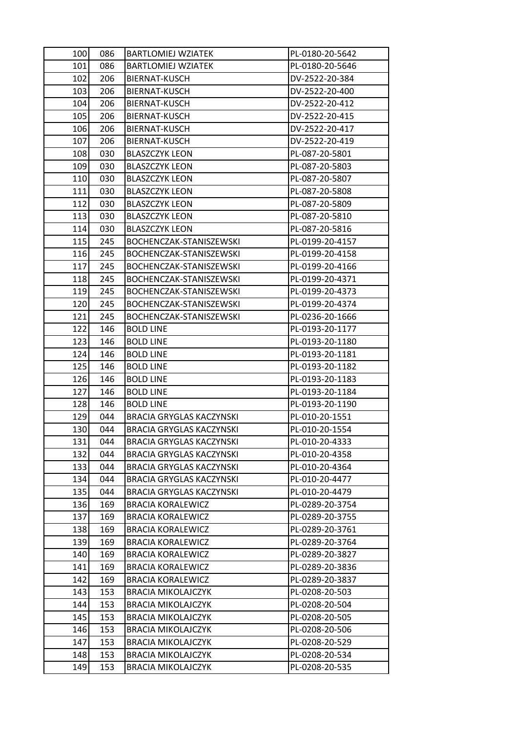| 100 | 086 | <b>BARTLOMIEJ WZIATEK</b>       | PL-0180-20-5642 |
|-----|-----|---------------------------------|-----------------|
| 101 | 086 | <b>BARTLOMIEJ WZIATEK</b>       | PL-0180-20-5646 |
| 102 | 206 | BIERNAT-KUSCH                   | DV-2522-20-384  |
| 103 | 206 | BIERNAT-KUSCH                   | DV-2522-20-400  |
| 104 | 206 | BIERNAT-KUSCH                   | DV-2522-20-412  |
| 105 | 206 | BIERNAT-KUSCH                   | DV-2522-20-415  |
| 106 | 206 | BIERNAT-KUSCH                   | DV-2522-20-417  |
| 107 | 206 | BIERNAT-KUSCH                   | DV-2522-20-419  |
| 108 | 030 | <b>BLASZCZYK LEON</b>           | PL-087-20-5801  |
| 109 | 030 | <b>BLASZCZYK LEON</b>           | PL-087-20-5803  |
| 110 | 030 | <b>BLASZCZYK LEON</b>           | PL-087-20-5807  |
| 111 | 030 | <b>BLASZCZYK LEON</b>           | PL-087-20-5808  |
| 112 | 030 | <b>BLASZCZYK LEON</b>           | PL-087-20-5809  |
| 113 | 030 | <b>BLASZCZYK LEON</b>           | PL-087-20-5810  |
| 114 | 030 | <b>BLASZCZYK LEON</b>           | PL-087-20-5816  |
| 115 | 245 | BOCHENCZAK-STANISZEWSKI         | PL-0199-20-4157 |
| 116 | 245 | BOCHENCZAK-STANISZEWSKI         | PL-0199-20-4158 |
| 117 | 245 | BOCHENCZAK-STANISZEWSKI         | PL-0199-20-4166 |
| 118 | 245 | BOCHENCZAK-STANISZEWSKI         | PL-0199-20-4371 |
| 119 | 245 | BOCHENCZAK-STANISZEWSKI         | PL-0199-20-4373 |
| 120 | 245 | BOCHENCZAK-STANISZEWSKI         | PL-0199-20-4374 |
| 121 | 245 | BOCHENCZAK-STANISZEWSKI         | PL-0236-20-1666 |
| 122 | 146 | <b>BOLD LINE</b>                | PL-0193-20-1177 |
| 123 | 146 | <b>BOLD LINE</b>                | PL-0193-20-1180 |
| 124 | 146 | <b>BOLD LINE</b>                | PL-0193-20-1181 |
| 125 | 146 | <b>BOLD LINE</b>                | PL-0193-20-1182 |
| 126 | 146 | <b>BOLD LINE</b>                | PL-0193-20-1183 |
| 127 | 146 | <b>BOLD LINE</b>                | PL-0193-20-1184 |
| 128 | 146 | <b>BOLD LINE</b>                | PL-0193-20-1190 |
| 129 | 044 | <b>BRACIA GRYGLAS KACZYNSKI</b> | PL-010-20-1551  |
| 130 | 044 | <b>BRACIA GRYGLAS KACZYNSKI</b> | PL-010-20-1554  |
| 131 | 044 | <b>BRACIA GRYGLAS KACZYNSKI</b> | PL-010-20-4333  |
| 132 | 044 | BRACIA GRYGLAS KACZYNSKI        | PL-010-20-4358  |
| 133 | 044 | <b>BRACIA GRYGLAS KACZYNSKI</b> | PL-010-20-4364  |
| 134 | 044 | BRACIA GRYGLAS KACZYNSKI        | PL-010-20-4477  |
| 135 | 044 | <b>BRACIA GRYGLAS KACZYNSKI</b> | PL-010-20-4479  |
| 136 | 169 | <b>BRACIA KORALEWICZ</b>        | PL-0289-20-3754 |
| 137 | 169 | <b>BRACIA KORALEWICZ</b>        | PL-0289-20-3755 |
| 138 | 169 | <b>BRACIA KORALEWICZ</b>        | PL-0289-20-3761 |
| 139 | 169 | <b>BRACIA KORALEWICZ</b>        | PL-0289-20-3764 |
| 140 | 169 | <b>BRACIA KORALEWICZ</b>        | PL-0289-20-3827 |
| 141 | 169 | <b>BRACIA KORALEWICZ</b>        | PL-0289-20-3836 |
| 142 | 169 | BRACIA KORALEWICZ               | PL-0289-20-3837 |
| 143 | 153 | <b>BRACIA MIKOLAJCZYK</b>       | PL-0208-20-503  |
| 144 | 153 | <b>BRACIA MIKOLAJCZYK</b>       | PL-0208-20-504  |
| 145 | 153 | <b>BRACIA MIKOLAJCZYK</b>       | PL-0208-20-505  |
| 146 | 153 | <b>BRACIA MIKOLAJCZYK</b>       | PL-0208-20-506  |
| 147 | 153 | <b>BRACIA MIKOLAJCZYK</b>       | PL-0208-20-529  |
| 148 | 153 | <b>BRACIA MIKOLAJCZYK</b>       | PL-0208-20-534  |
| 149 | 153 | <b>BRACIA MIKOLAJCZYK</b>       | PL-0208-20-535  |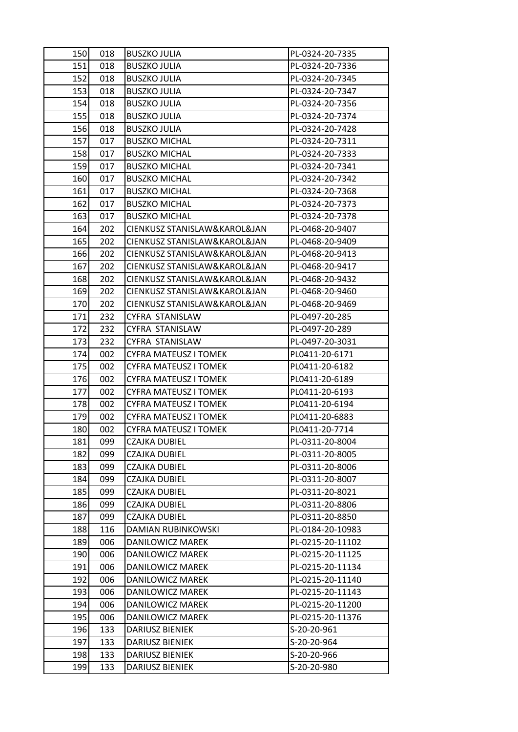| 150 | 018 | <b>BUSZKO JULIA</b>          | PL-0324-20-7335  |
|-----|-----|------------------------------|------------------|
| 151 | 018 | <b>BUSZKO JULIA</b>          | PL-0324-20-7336  |
| 152 | 018 | <b>BUSZKO JULIA</b>          | PL-0324-20-7345  |
| 153 | 018 | <b>BUSZKO JULIA</b>          | PL-0324-20-7347  |
| 154 | 018 | <b>BUSZKO JULIA</b>          | PL-0324-20-7356  |
| 155 | 018 | <b>BUSZKO JULIA</b>          | PL-0324-20-7374  |
| 156 | 018 | <b>BUSZKO JULIA</b>          | PL-0324-20-7428  |
| 157 | 017 | <b>BUSZKO MICHAL</b>         | PL-0324-20-7311  |
| 158 | 017 | <b>BUSZKO MICHAL</b>         | PL-0324-20-7333  |
| 159 | 017 | <b>BUSZKO MICHAL</b>         | PL-0324-20-7341  |
| 160 | 017 | <b>BUSZKO MICHAL</b>         | PL-0324-20-7342  |
| 161 | 017 | <b>BUSZKO MICHAL</b>         | PL-0324-20-7368  |
| 162 | 017 | <b>BUSZKO MICHAL</b>         | PL-0324-20-7373  |
| 163 | 017 | <b>BUSZKO MICHAL</b>         | PL-0324-20-7378  |
| 164 | 202 | CIENKUSZ STANISLAW&KAROL&JAN | PL-0468-20-9407  |
| 165 | 202 | CIENKUSZ STANISLAW&KAROL&JAN | PL-0468-20-9409  |
| 166 | 202 | CIENKUSZ STANISLAW&KAROL&JAN | PL-0468-20-9413  |
| 167 | 202 | CIENKUSZ STANISLAW&KAROL&JAN | PL-0468-20-9417  |
| 168 | 202 | CIENKUSZ STANISLAW&KAROL&JAN | PL-0468-20-9432  |
| 169 | 202 | CIENKUSZ STANISLAW&KAROL&JAN | PL-0468-20-9460  |
| 170 | 202 | CIENKUSZ STANISLAW&KAROL&JAN | PL-0468-20-9469  |
| 171 | 232 | CYFRA STANISLAW              | PL-0497-20-285   |
| 172 | 232 | CYFRA STANISLAW              | PL-0497-20-289   |
| 173 | 232 | CYFRA STANISLAW              | PL-0497-20-3031  |
| 174 | 002 | <b>CYFRA MATEUSZ I TOMEK</b> | PL0411-20-6171   |
| 175 | 002 | CYFRA MATEUSZ I TOMEK        | PL0411-20-6182   |
| 176 | 002 | <b>CYFRA MATEUSZ I TOMEK</b> | PL0411-20-6189   |
| 177 | 002 | <b>CYFRA MATEUSZ I TOMEK</b> | PL0411-20-6193   |
| 178 | 002 | <b>CYFRA MATEUSZ I TOMEK</b> | PL0411-20-6194   |
| 179 | 002 | CYFRA MATEUSZ I TOMEK        | PL0411-20-6883   |
| 180 | 002 | <b>CYFRA MATEUSZ I TOMEK</b> | PL0411-20-7714   |
| 181 | 099 | <b>CZAJKA DUBIEL</b>         | PL-0311-20-8004  |
| 182 | 099 | CZAJKA DUBIEL                | PL-0311-20-8005  |
| 183 | 099 | <b>CZAJKA DUBIEL</b>         | PL-0311-20-8006  |
| 184 | 099 | <b>CZAJKA DUBIEL</b>         | PL-0311-20-8007  |
| 185 | 099 | CZAJKA DUBIEL                | PL-0311-20-8021  |
| 186 | 099 | <b>CZAJKA DUBIEL</b>         | PL-0311-20-8806  |
| 187 | 099 | <b>CZAJKA DUBIEL</b>         | PL-0311-20-8850  |
| 188 | 116 | DAMIAN RUBINKOWSKI           | PL-0184-20-10983 |
| 189 | 006 | DANILOWICZ MAREK             | PL-0215-20-11102 |
| 190 | 006 | DANILOWICZ MAREK             | PL-0215-20-11125 |
| 191 | 006 | DANILOWICZ MAREK             | PL-0215-20-11134 |
| 192 | 006 | DANILOWICZ MAREK             | PL-0215-20-11140 |
| 193 | 006 | DANILOWICZ MAREK             | PL-0215-20-11143 |
| 194 | 006 | DANILOWICZ MAREK             | PL-0215-20-11200 |
| 195 | 006 | DANILOWICZ MAREK             | PL-0215-20-11376 |
| 196 | 133 | <b>DARIUSZ BIENIEK</b>       | S-20-20-961      |
| 197 | 133 | DARIUSZ BIENIEK              | S-20-20-964      |
| 198 | 133 | <b>DARIUSZ BIENIEK</b>       | S-20-20-966      |
| 199 | 133 | DARIUSZ BIENIEK              | S-20-20-980      |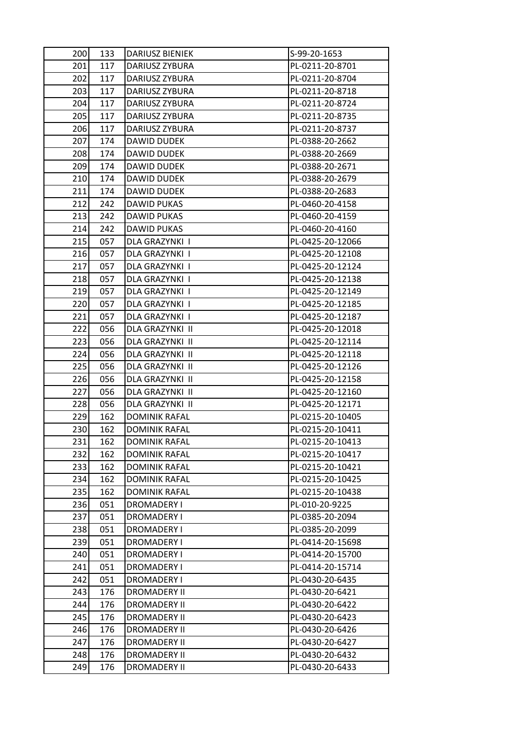| 200 | 133 | DARIUSZ BIENIEK      | S-99-20-1653     |
|-----|-----|----------------------|------------------|
| 201 | 117 | DARIUSZ ZYBURA       | PL-0211-20-8701  |
| 202 | 117 | DARIUSZ ZYBURA       | PL-0211-20-8704  |
| 203 | 117 | DARIUSZ ZYBURA       | PL-0211-20-8718  |
| 204 | 117 | DARIUSZ ZYBURA       | PL-0211-20-8724  |
| 205 | 117 | DARIUSZ ZYBURA       | PL-0211-20-8735  |
| 206 | 117 | DARIUSZ ZYBURA       | PL-0211-20-8737  |
| 207 | 174 | <b>DAWID DUDEK</b>   | PL-0388-20-2662  |
| 208 | 174 | DAWID DUDEK          | PL-0388-20-2669  |
| 209 | 174 | DAWID DUDEK          | PL-0388-20-2671  |
| 210 | 174 | DAWID DUDEK          | PL-0388-20-2679  |
| 211 | 174 | DAWID DUDEK          | PL-0388-20-2683  |
| 212 | 242 | DAWID PUKAS          | PL-0460-20-4158  |
| 213 | 242 | DAWID PUKAS          | PL-0460-20-4159  |
| 214 | 242 | DAWID PUKAS          | PL-0460-20-4160  |
| 215 | 057 | DLA GRAZYNKI I       | PL-0425-20-12066 |
| 216 | 057 | DLA GRAZYNKI I       | PL-0425-20-12108 |
| 217 | 057 | DLA GRAZYNKI I       | PL-0425-20-12124 |
| 218 | 057 | DLA GRAZYNKI I       | PL-0425-20-12138 |
| 219 | 057 | DLA GRAZYNKI I       | PL-0425-20-12149 |
| 220 | 057 | DLA GRAZYNKI I       | PL-0425-20-12185 |
| 221 | 057 | DLA GRAZYNKI I       | PL-0425-20-12187 |
| 222 | 056 | DLA GRAZYNKI II      | PL-0425-20-12018 |
| 223 | 056 | DLA GRAZYNKI II      | PL-0425-20-12114 |
| 224 | 056 | DLA GRAZYNKI II      | PL-0425-20-12118 |
| 225 | 056 | DLA GRAZYNKI II      | PL-0425-20-12126 |
| 226 | 056 | DLA GRAZYNKI II      | PL-0425-20-12158 |
| 227 | 056 | DLA GRAZYNKI II      | PL-0425-20-12160 |
| 228 | 056 | DLA GRAZYNKI II      | PL-0425-20-12171 |
| 229 | 162 | <b>DOMINIK RAFAL</b> | PL-0215-20-10405 |
| 230 | 162 | <b>DOMINIK RAFAL</b> | PL-0215-20-10411 |
| 231 | 162 | <b>DOMINIK RAFAL</b> | PL-0215-20-10413 |
| 232 | 162 | <b>DOMINIK RAFAL</b> | PL-0215-20-10417 |
| 233 | 162 | <b>DOMINIK RAFAL</b> | PL-0215-20-10421 |
| 234 | 162 | <b>DOMINIK RAFAL</b> | PL-0215-20-10425 |
| 235 | 162 | <b>DOMINIK RAFAL</b> | PL-0215-20-10438 |
| 236 | 051 | <b>DROMADERY I</b>   | PL-010-20-9225   |
| 237 | 051 | <b>DROMADERY I</b>   | PL-0385-20-2094  |
| 238 | 051 | DROMADERY I          | PL-0385-20-2099  |
| 239 | 051 | DROMADERY I          | PL-0414-20-15698 |
| 240 | 051 | DROMADERY I          | PL-0414-20-15700 |
| 241 | 051 | <b>DROMADERY I</b>   | PL-0414-20-15714 |
| 242 | 051 | <b>DROMADERY I</b>   | PL-0430-20-6435  |
| 243 | 176 | <b>DROMADERY II</b>  | PL-0430-20-6421  |
| 244 | 176 | <b>DROMADERY II</b>  | PL-0430-20-6422  |
| 245 | 176 | <b>DROMADERY II</b>  | PL-0430-20-6423  |
| 246 | 176 | <b>DROMADERY II</b>  | PL-0430-20-6426  |
| 247 | 176 | <b>DROMADERY II</b>  | PL-0430-20-6427  |
| 248 | 176 | <b>DROMADERY II</b>  | PL-0430-20-6432  |
| 249 | 176 | <b>DROMADERY II</b>  | PL-0430-20-6433  |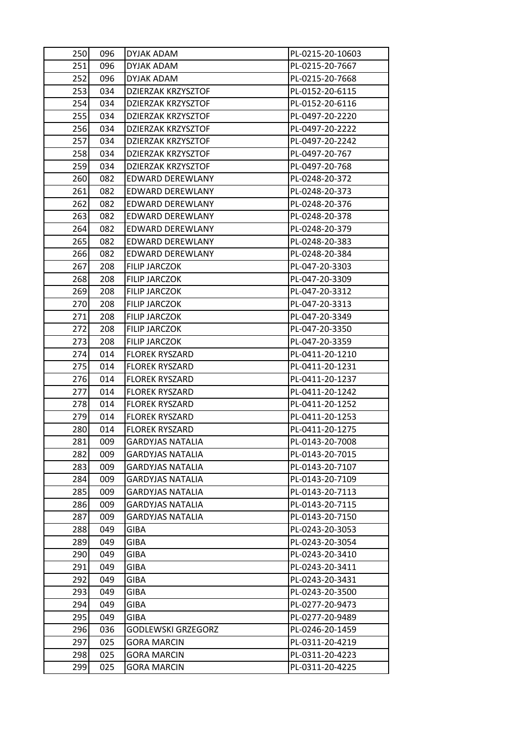| 250 | 096 | DYJAK ADAM                | PL-0215-20-10603 |
|-----|-----|---------------------------|------------------|
| 251 | 096 | DYJAK ADAM                | PL-0215-20-7667  |
| 252 | 096 | DYJAK ADAM                | PL-0215-20-7668  |
| 253 | 034 | DZIERZAK KRZYSZTOF        | PL-0152-20-6115  |
| 254 | 034 | DZIERZAK KRZYSZTOF        | PL-0152-20-6116  |
| 255 | 034 | <b>DZIERZAK KRZYSZTOF</b> | PL-0497-20-2220  |
| 256 | 034 | DZIERZAK KRZYSZTOF        | PL-0497-20-2222  |
| 257 | 034 | <b>DZIERZAK KRZYSZTOF</b> | PL-0497-20-2242  |
| 258 | 034 | <b>DZIERZAK KRZYSZTOF</b> | PL-0497-20-767   |
| 259 | 034 | DZIERZAK KRZYSZTOF        | PL-0497-20-768   |
| 260 | 082 | EDWARD DEREWLANY          | PL-0248-20-372   |
| 261 | 082 | EDWARD DEREWLANY          | PL-0248-20-373   |
| 262 | 082 | EDWARD DEREWLANY          | PL-0248-20-376   |
| 263 | 082 | EDWARD DEREWLANY          | PL-0248-20-378   |
| 264 | 082 | EDWARD DEREWLANY          | PL-0248-20-379   |
| 265 | 082 | <b>EDWARD DEREWLANY</b>   | PL-0248-20-383   |
| 266 | 082 | EDWARD DEREWLANY          | PL-0248-20-384   |
| 267 | 208 | FILIP JARCZOK             | PL-047-20-3303   |
| 268 | 208 | FILIP JARCZOK             | PL-047-20-3309   |
| 269 | 208 | FILIP JARCZOK             | PL-047-20-3312   |
| 270 | 208 | FILIP JARCZOK             | PL-047-20-3313   |
| 271 | 208 | <b>FILIP JARCZOK</b>      | PL-047-20-3349   |
| 272 | 208 | FILIP JARCZOK             | PL-047-20-3350   |
| 273 | 208 | FILIP JARCZOK             | PL-047-20-3359   |
| 274 | 014 | <b>FLOREK RYSZARD</b>     | PL-0411-20-1210  |
| 275 | 014 | <b>FLOREK RYSZARD</b>     | PL-0411-20-1231  |
| 276 | 014 | <b>FLOREK RYSZARD</b>     | PL-0411-20-1237  |
| 277 | 014 | <b>FLOREK RYSZARD</b>     | PL-0411-20-1242  |
| 278 | 014 | <b>FLOREK RYSZARD</b>     | PL-0411-20-1252  |
| 279 | 014 | <b>FLOREK RYSZARD</b>     | PL-0411-20-1253  |
| 280 | 014 | <b>FLOREK RYSZARD</b>     | PL-0411-20-1275  |
| 281 | 009 | <b>GARDYJAS NATALIA</b>   | PL-0143-20-7008  |
| 282 | 009 | <b>GARDYJAS NATALIA</b>   | PL-0143-20-7015  |
| 283 | 009 | <b>GARDYJAS NATALIA</b>   | PL-0143-20-7107  |
| 284 | 009 | <b>GARDYJAS NATALIA</b>   | PL-0143-20-7109  |
| 285 | 009 | <b>GARDYJAS NATALIA</b>   | PL-0143-20-7113  |
| 286 | 009 | <b>GARDYJAS NATALIA</b>   | PL-0143-20-7115  |
| 287 | 009 | <b>GARDYJAS NATALIA</b>   | PL-0143-20-7150  |
| 288 | 049 | <b>GIBA</b>               | PL-0243-20-3053  |
| 289 | 049 | <b>GIBA</b>               | PL-0243-20-3054  |
| 290 | 049 | <b>GIBA</b>               | PL-0243-20-3410  |
| 291 | 049 | <b>GIBA</b>               | PL-0243-20-3411  |
| 292 | 049 | <b>GIBA</b>               | PL-0243-20-3431  |
| 293 | 049 | <b>GIBA</b>               | PL-0243-20-3500  |
| 294 | 049 | <b>GIBA</b>               | PL-0277-20-9473  |
| 295 | 049 | GIBA                      | PL-0277-20-9489  |
| 296 | 036 | <b>GODLEWSKI GRZEGORZ</b> | PL-0246-20-1459  |
| 297 | 025 | <b>GORA MARCIN</b>        | PL-0311-20-4219  |
| 298 | 025 | <b>GORA MARCIN</b>        | PL-0311-20-4223  |
| 299 | 025 | <b>GORA MARCIN</b>        | PL-0311-20-4225  |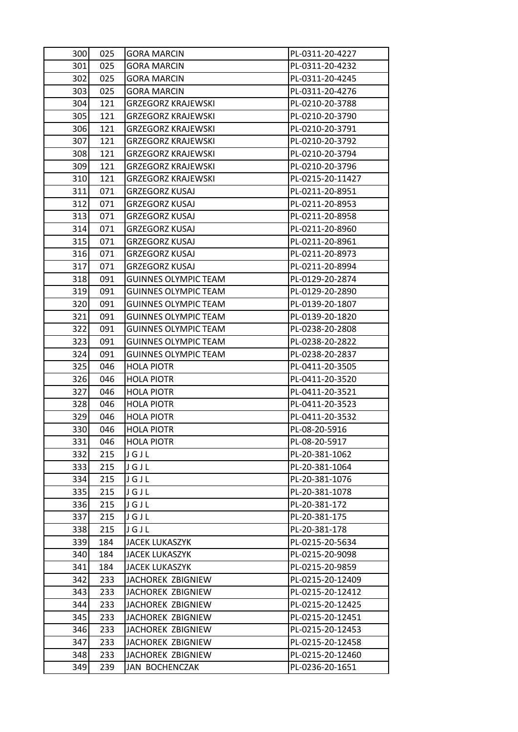| 300 | 025 | <b>GORA MARCIN</b>          | PL-0311-20-4227  |
|-----|-----|-----------------------------|------------------|
| 301 | 025 | <b>GORA MARCIN</b>          | PL-0311-20-4232  |
| 302 | 025 | <b>GORA MARCIN</b>          | PL-0311-20-4245  |
| 303 | 025 | <b>GORA MARCIN</b>          | PL-0311-20-4276  |
| 304 | 121 | <b>GRZEGORZ KRAJEWSKI</b>   | PL-0210-20-3788  |
| 305 | 121 | <b>GRZEGORZ KRAJEWSKI</b>   | PL-0210-20-3790  |
| 306 | 121 | <b>GRZEGORZ KRAJEWSKI</b>   | PL-0210-20-3791  |
| 307 | 121 | <b>GRZEGORZ KRAJEWSKI</b>   | PL-0210-20-3792  |
| 308 | 121 | <b>GRZEGORZ KRAJEWSKI</b>   | PL-0210-20-3794  |
| 309 | 121 | <b>GRZEGORZ KRAJEWSKI</b>   | PL-0210-20-3796  |
| 310 | 121 | <b>GRZEGORZ KRAJEWSKI</b>   | PL-0215-20-11427 |
| 311 | 071 | <b>GRZEGORZ KUSAJ</b>       | PL-0211-20-8951  |
| 312 | 071 | <b>GRZEGORZ KUSAJ</b>       | PL-0211-20-8953  |
| 313 | 071 | <b>GRZEGORZ KUSAJ</b>       | PL-0211-20-8958  |
| 314 | 071 | <b>GRZEGORZ KUSAJ</b>       | PL-0211-20-8960  |
| 315 | 071 | <b>GRZEGORZ KUSAJ</b>       | PL-0211-20-8961  |
| 316 | 071 | <b>GRZEGORZ KUSAJ</b>       | PL-0211-20-8973  |
| 317 | 071 | <b>GRZEGORZ KUSAJ</b>       | PL-0211-20-8994  |
| 318 | 091 | <b>GUINNES OLYMPIC TEAM</b> | PL-0129-20-2874  |
| 319 | 091 | <b>GUINNES OLYMPIC TEAM</b> | PL-0129-20-2890  |
| 320 | 091 | <b>GUINNES OLYMPIC TEAM</b> | PL-0139-20-1807  |
| 321 | 091 | <b>GUINNES OLYMPIC TEAM</b> | PL-0139-20-1820  |
| 322 | 091 | <b>GUINNES OLYMPIC TEAM</b> | PL-0238-20-2808  |
| 323 | 091 | <b>GUINNES OLYMPIC TEAM</b> | PL-0238-20-2822  |
| 324 | 091 | <b>GUINNES OLYMPIC TEAM</b> | PL-0238-20-2837  |
| 325 | 046 | <b>HOLA PIOTR</b>           | PL-0411-20-3505  |
| 326 | 046 | <b>HOLA PIOTR</b>           | PL-0411-20-3520  |
| 327 | 046 | <b>HOLA PIOTR</b>           | PL-0411-20-3521  |
| 328 | 046 | <b>HOLA PIOTR</b>           | PL-0411-20-3523  |
| 329 | 046 | <b>HOLA PIOTR</b>           | PL-0411-20-3532  |
| 330 | 046 | <b>HOLA PIOTR</b>           | PL-08-20-5916    |
| 331 | 046 | <b>HOLA PIOTR</b>           | PL-08-20-5917    |
| 332 | 215 | JGJL                        | PL-20-381-1062   |
| 333 | 215 | JGJL                        | PL-20-381-1064   |
| 334 | 215 | JGJL                        | PL-20-381-1076   |
| 335 | 215 | JGJL                        | PL-20-381-1078   |
| 336 | 215 | JGJL                        | PL-20-381-172    |
| 337 | 215 | JGJL                        | PL-20-381-175    |
| 338 | 215 | JGJL                        | PL-20-381-178    |
| 339 | 184 | <b>JACEK LUKASZYK</b>       | PL-0215-20-5634  |
| 340 | 184 | <b>JACEK LUKASZYK</b>       | PL-0215-20-9098  |
| 341 | 184 | <b>JACEK LUKASZYK</b>       | PL-0215-20-9859  |
| 342 | 233 | JACHOREK ZBIGNIEW           | PL-0215-20-12409 |
| 343 | 233 | JACHOREK ZBIGNIEW           | PL-0215-20-12412 |
| 344 | 233 | JACHOREK ZBIGNIEW           | PL-0215-20-12425 |
| 345 | 233 | JACHOREK ZBIGNIEW           | PL-0215-20-12451 |
| 346 | 233 | JACHOREK ZBIGNIEW           | PL-0215-20-12453 |
| 347 | 233 | JACHOREK ZBIGNIEW           | PL-0215-20-12458 |
| 348 | 233 | JACHOREK ZBIGNIEW           | PL-0215-20-12460 |
| 349 | 239 | JAN BOCHENCZAK              | PL-0236-20-1651  |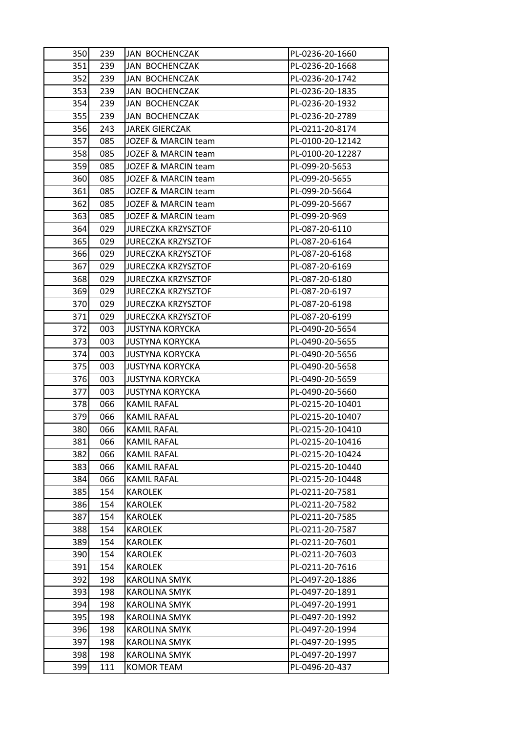| 350 | 239 | <b>JAN BOCHENCZAK</b>     | PL-0236-20-1660  |
|-----|-----|---------------------------|------------------|
| 351 | 239 | JAN BOCHENCZAK            | PL-0236-20-1668  |
| 352 | 239 | JAN BOCHENCZAK            | PL-0236-20-1742  |
| 353 | 239 | JAN BOCHENCZAK            | PL-0236-20-1835  |
| 354 | 239 | JAN BOCHENCZAK            | PL-0236-20-1932  |
| 355 | 239 | JAN BOCHENCZAK            | PL-0236-20-2789  |
| 356 | 243 | <b>JAREK GIERCZAK</b>     | PL-0211-20-8174  |
| 357 | 085 | JOZEF & MARCIN team       | PL-0100-20-12142 |
| 358 | 085 | JOZEF & MARCIN team       | PL-0100-20-12287 |
| 359 | 085 | JOZEF & MARCIN team       | PL-099-20-5653   |
| 360 | 085 | JOZEF & MARCIN team       | PL-099-20-5655   |
| 361 | 085 | JOZEF & MARCIN team       | PL-099-20-5664   |
| 362 | 085 | JOZEF & MARCIN team       | PL-099-20-5667   |
| 363 | 085 | JOZEF & MARCIN team       | PL-099-20-969    |
| 364 | 029 | <b>JURECZKA KRZYSZTOF</b> | PL-087-20-6110   |
| 365 | 029 | <b>JURECZKA KRZYSZTOF</b> | PL-087-20-6164   |
| 366 | 029 | <b>JURECZKA KRZYSZTOF</b> | PL-087-20-6168   |
| 367 | 029 | <b>JURECZKA KRZYSZTOF</b> | PL-087-20-6169   |
| 368 | 029 | <b>JURECZKA KRZYSZTOF</b> | PL-087-20-6180   |
| 369 | 029 | <b>JURECZKA KRZYSZTOF</b> | PL-087-20-6197   |
| 370 | 029 | <b>JURECZKA KRZYSZTOF</b> | PL-087-20-6198   |
| 371 | 029 | <b>JURECZKA KRZYSZTOF</b> | PL-087-20-6199   |
| 372 | 003 | <b>JUSTYNA KORYCKA</b>    | PL-0490-20-5654  |
| 373 | 003 | <b>JUSTYNA KORYCKA</b>    | PL-0490-20-5655  |
| 374 | 003 | <b>JUSTYNA KORYCKA</b>    | PL-0490-20-5656  |
| 375 | 003 | <b>JUSTYNA KORYCKA</b>    | PL-0490-20-5658  |
| 376 | 003 | <b>JUSTYNA KORYCKA</b>    | PL-0490-20-5659  |
| 377 | 003 | <b>JUSTYNA KORYCKA</b>    | PL-0490-20-5660  |
| 378 | 066 | KAMIL RAFAL               | PL-0215-20-10401 |
| 379 | 066 | <b>KAMIL RAFAL</b>        | PL-0215-20-10407 |
| 380 | 066 | KAMIL RAFAL               | PL-0215-20-10410 |
| 381 | 066 | <b>KAMIL RAFAL</b>        | PL-0215-20-10416 |
| 382 | 066 | <b>KAMIL RAFAL</b>        | PL-0215-20-10424 |
| 383 | 066 | <b>KAMIL RAFAL</b>        | PL-0215-20-10440 |
| 384 | 066 | KAMIL RAFAL               | PL-0215-20-10448 |
| 385 | 154 | <b>KAROLEK</b>            | PL-0211-20-7581  |
| 386 | 154 | <b>KAROLEK</b>            | PL-0211-20-7582  |
| 387 | 154 | <b>KAROLEK</b>            | PL-0211-20-7585  |
| 388 | 154 | <b>KAROLEK</b>            | PL-0211-20-7587  |
| 389 | 154 | <b>KAROLEK</b>            | PL-0211-20-7601  |
| 390 | 154 | <b>KAROLEK</b>            | PL-0211-20-7603  |
| 391 | 154 | <b>KAROLEK</b>            | PL-0211-20-7616  |
| 392 | 198 | <b>KAROLINA SMYK</b>      | PL-0497-20-1886  |
| 393 | 198 | KAROLINA SMYK             | PL-0497-20-1891  |
| 394 | 198 | <b>KAROLINA SMYK</b>      | PL-0497-20-1991  |
| 395 | 198 | <b>KAROLINA SMYK</b>      | PL-0497-20-1992  |
| 396 | 198 | <b>KAROLINA SMYK</b>      | PL-0497-20-1994  |
| 397 | 198 | <b>KAROLINA SMYK</b>      | PL-0497-20-1995  |
| 398 | 198 | KAROLINA SMYK             | PL-0497-20-1997  |
| 399 | 111 | <b>KOMOR TEAM</b>         | PL-0496-20-437   |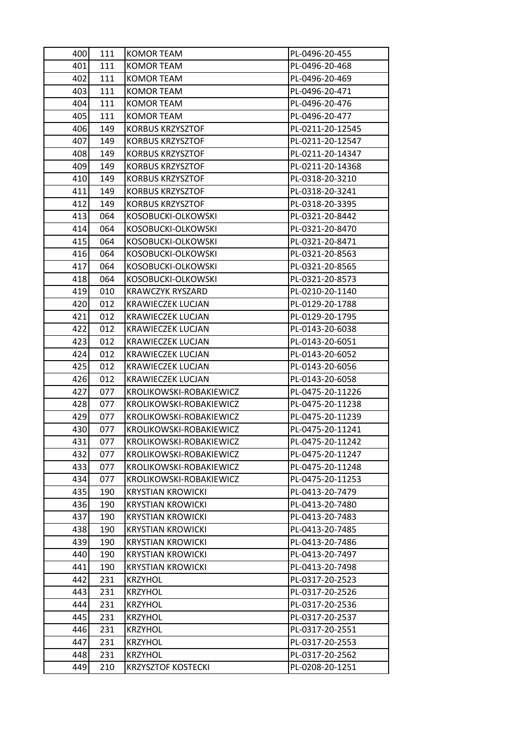| 400 | 111 | KOMOR TEAM                | PL-0496-20-455   |
|-----|-----|---------------------------|------------------|
| 401 | 111 | KOMOR TEAM                | PL-0496-20-468   |
| 402 | 111 | KOMOR TEAM                | PL-0496-20-469   |
| 403 | 111 | KOMOR TEAM                | PL-0496-20-471   |
| 404 | 111 | <b>KOMOR TEAM</b>         | PL-0496-20-476   |
| 405 | 111 | KOMOR TEAM                | PL-0496-20-477   |
| 406 | 149 | <b>KORBUS KRZYSZTOF</b>   | PL-0211-20-12545 |
| 407 | 149 | <b>KORBUS KRZYSZTOF</b>   | PL-0211-20-12547 |
| 408 | 149 | <b>KORBUS KRZYSZTOF</b>   | PL-0211-20-14347 |
| 409 | 149 | <b>KORBUS KRZYSZTOF</b>   | PL-0211-20-14368 |
| 410 | 149 | <b>KORBUS KRZYSZTOF</b>   | PL-0318-20-3210  |
| 411 | 149 | <b>KORBUS KRZYSZTOF</b>   | PL-0318-20-3241  |
| 412 | 149 | <b>KORBUS KRZYSZTOF</b>   | PL-0318-20-3395  |
| 413 | 064 | KOSOBUCKI-OLKOWSKI        | PL-0321-20-8442  |
| 414 | 064 | KOSOBUCKI-OLKOWSKI        | PL-0321-20-8470  |
| 415 | 064 | KOSOBUCKI-OLKOWSKI        | PL-0321-20-8471  |
| 416 | 064 | KOSOBUCKI-OLKOWSKI        | PL-0321-20-8563  |
| 417 | 064 | KOSOBUCKI-OLKOWSKI        | PL-0321-20-8565  |
| 418 | 064 | KOSOBUCKI-OLKOWSKI        | PL-0321-20-8573  |
| 419 | 010 | <b>KRAWCZYK RYSZARD</b>   | PL-0210-20-1140  |
| 420 | 012 | <b>KRAWIECZEK LUCJAN</b>  | PL-0129-20-1788  |
| 421 | 012 | <b>KRAWIECZEK LUCJAN</b>  | PL-0129-20-1795  |
| 422 | 012 | <b>KRAWIECZEK LUCJAN</b>  | PL-0143-20-6038  |
| 423 | 012 | <b>KRAWIECZEK LUCJAN</b>  | PL-0143-20-6051  |
| 424 | 012 | <b>KRAWIECZEK LUCJAN</b>  | PL-0143-20-6052  |
| 425 | 012 | <b>KRAWIECZEK LUCJAN</b>  | PL-0143-20-6056  |
| 426 | 012 | <b>KRAWIECZEK LUCJAN</b>  | PL-0143-20-6058  |
| 427 | 077 | KROLIKOWSKI-ROBAKIEWICZ   | PL-0475-20-11226 |
| 428 | 077 | KROLIKOWSKI-ROBAKIEWICZ   | PL-0475-20-11238 |
| 429 | 077 | KROLIKOWSKI-ROBAKIEWICZ   | PL-0475-20-11239 |
| 430 | 077 | KROLIKOWSKI-ROBAKIEWICZ   | PL-0475-20-11241 |
| 431 | 077 | KROLIKOWSKI-ROBAKIEWICZ   | PL-0475-20-11242 |
| 432 | 077 | KROLIKOWSKI-ROBAKIEWICZ   | PL-0475-20-11247 |
| 433 | 077 | KROLIKOWSKI-ROBAKIEWICZ   | PL-0475-20-11248 |
| 434 | 077 | KROLIKOWSKI-ROBAKIEWICZ   | PL-0475-20-11253 |
| 435 | 190 | <b>KRYSTIAN KROWICKI</b>  | PL-0413-20-7479  |
| 436 | 190 | <b>KRYSTIAN KROWICKI</b>  | PL-0413-20-7480  |
| 437 | 190 | <b>KRYSTIAN KROWICKI</b>  | PL-0413-20-7483  |
| 438 | 190 | <b>KRYSTIAN KROWICKI</b>  | PL-0413-20-7485  |
| 439 | 190 | <b>KRYSTIAN KROWICKI</b>  | PL-0413-20-7486  |
| 440 | 190 | <b>KRYSTIAN KROWICKI</b>  | PL-0413-20-7497  |
| 441 | 190 | <b>KRYSTIAN KROWICKI</b>  | PL-0413-20-7498  |
| 442 | 231 | <b>KRZYHOL</b>            | PL-0317-20-2523  |
| 443 | 231 | <b>KRZYHOL</b>            | PL-0317-20-2526  |
| 444 | 231 | <b>KRZYHOL</b>            | PL-0317-20-2536  |
| 445 | 231 | <b>KRZYHOL</b>            | PL-0317-20-2537  |
| 446 | 231 | <b>KRZYHOL</b>            | PL-0317-20-2551  |
| 447 | 231 | <b>KRZYHOL</b>            | PL-0317-20-2553  |
| 448 | 231 | <b>KRZYHOL</b>            | PL-0317-20-2562  |
| 449 | 210 | <b>KRZYSZTOF KOSTECKI</b> | PL-0208-20-1251  |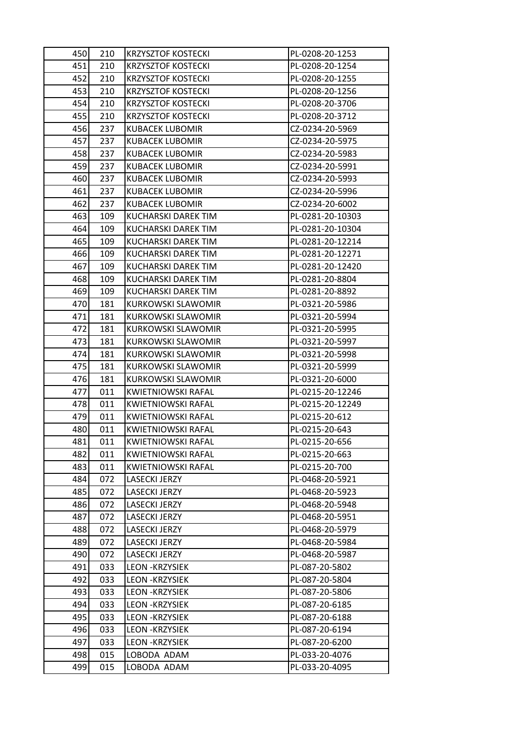| 450 | 210 | <b>KRZYSZTOF KOSTECKI</b> | PL-0208-20-1253  |
|-----|-----|---------------------------|------------------|
| 451 | 210 | <b>KRZYSZTOF KOSTECKI</b> | PL-0208-20-1254  |
| 452 | 210 | <b>KRZYSZTOF KOSTECKI</b> | PL-0208-20-1255  |
| 453 | 210 | <b>KRZYSZTOF KOSTECKI</b> | PL-0208-20-1256  |
| 454 | 210 | <b>KRZYSZTOF KOSTECKI</b> | PL-0208-20-3706  |
| 455 | 210 | <b>KRZYSZTOF KOSTECKI</b> | PL-0208-20-3712  |
| 456 | 237 | <b>KUBACEK LUBOMIR</b>    | CZ-0234-20-5969  |
| 457 | 237 | <b>KUBACEK LUBOMIR</b>    | CZ-0234-20-5975  |
| 458 | 237 | <b>KUBACEK LUBOMIR</b>    | CZ-0234-20-5983  |
| 459 | 237 | <b>KUBACEK LUBOMIR</b>    | CZ-0234-20-5991  |
| 460 | 237 | <b>KUBACEK LUBOMIR</b>    | CZ-0234-20-5993  |
| 461 | 237 | <b>KUBACEK LUBOMIR</b>    | CZ-0234-20-5996  |
| 462 | 237 | <b>KUBACEK LUBOMIR</b>    | CZ-0234-20-6002  |
| 463 | 109 | KUCHARSKI DAREK TIM       | PL-0281-20-10303 |
| 464 | 109 | KUCHARSKI DAREK TIM       | PL-0281-20-10304 |
| 465 | 109 | KUCHARSKI DAREK TIM       | PL-0281-20-12214 |
| 466 | 109 | KUCHARSKI DAREK TIM       | PL-0281-20-12271 |
| 467 | 109 | KUCHARSKI DAREK TIM       | PL-0281-20-12420 |
| 468 | 109 | KUCHARSKI DAREK TIM       | PL-0281-20-8804  |
| 469 | 109 | KUCHARSKI DAREK TIM       | PL-0281-20-8892  |
| 470 | 181 | KURKOWSKI SLAWOMIR        | PL-0321-20-5986  |
| 471 | 181 | <b>KURKOWSKI SLAWOMIR</b> | PL-0321-20-5994  |
| 472 | 181 | KURKOWSKI SLAWOMIR        | PL-0321-20-5995  |
| 473 | 181 | <b>KURKOWSKI SLAWOMIR</b> | PL-0321-20-5997  |
| 474 | 181 | <b>KURKOWSKI SLAWOMIR</b> | PL-0321-20-5998  |
| 475 | 181 | <b>KURKOWSKI SLAWOMIR</b> | PL-0321-20-5999  |
| 476 | 181 | <b>KURKOWSKI SLAWOMIR</b> | PL-0321-20-6000  |
| 477 | 011 | <b>KWIETNIOWSKI RAFAL</b> | PL-0215-20-12246 |
| 478 | 011 | <b>KWIETNIOWSKI RAFAL</b> | PL-0215-20-12249 |
| 479 | 011 | <b>KWIETNIOWSKI RAFAL</b> | PL-0215-20-612   |
| 480 | 011 | <b>KWIETNIOWSKI RAFAL</b> | PL-0215-20-643   |
| 481 | 011 | KWIETNIOWSKI RAFAL        | PL-0215-20-656   |
| 482 | 011 | <b>KWIETNIOWSKI RAFAL</b> | PL-0215-20-663   |
| 483 | 011 | <b>KWIETNIOWSKI RAFAL</b> | PL-0215-20-700   |
| 484 | 072 | <b>LASECKI JERZY</b>      | PL-0468-20-5921  |
| 485 | 072 | <b>LASECKI JERZY</b>      | PL-0468-20-5923  |
| 486 | 072 | <b>LASECKI JERZY</b>      | PL-0468-20-5948  |
| 487 | 072 | <b>LASECKI JERZY</b>      | PL-0468-20-5951  |
| 488 | 072 | LASECKI JERZY             | PL-0468-20-5979  |
| 489 | 072 | <b>LASECKI JERZY</b>      | PL-0468-20-5984  |
| 490 | 072 | <b>LASECKI JERZY</b>      | PL-0468-20-5987  |
| 491 | 033 | <b>LEON -KRZYSIEK</b>     | PL-087-20-5802   |
| 492 | 033 | <b>LEON -KRZYSIEK</b>     | PL-087-20-5804   |
| 493 | 033 | <b>LEON -KRZYSIEK</b>     | PL-087-20-5806   |
| 494 | 033 | <b>LEON -KRZYSIEK</b>     | PL-087-20-6185   |
| 495 | 033 | <b>LEON -KRZYSIEK</b>     | PL-087-20-6188   |
| 496 | 033 | <b>LEON -KRZYSIEK</b>     | PL-087-20-6194   |
| 497 | 033 | <b>LEON -KRZYSIEK</b>     | PL-087-20-6200   |
| 498 | 015 | LOBODA ADAM               | PL-033-20-4076   |
| 499 | 015 | LOBODA ADAM               | PL-033-20-4095   |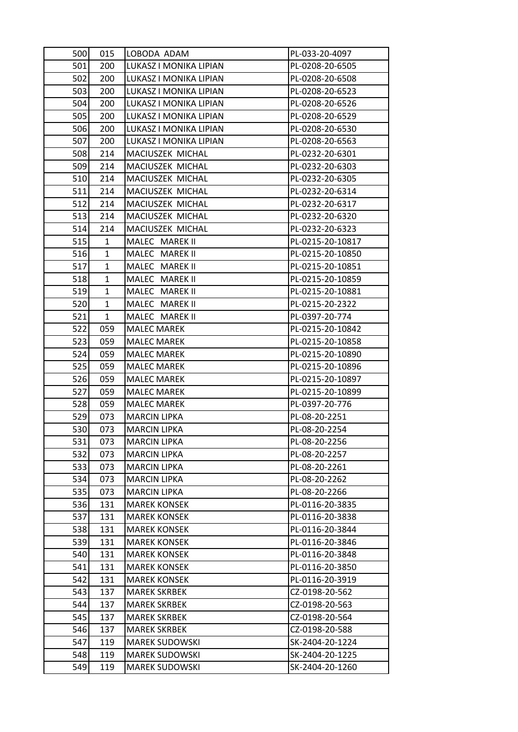| 500 | 015          | LOBODA ADAM            | PL-033-20-4097   |
|-----|--------------|------------------------|------------------|
| 501 | 200          | LUKASZ I MONIKA LIPIAN | PL-0208-20-6505  |
| 502 | 200          | LUKASZ I MONIKA LIPIAN | PL-0208-20-6508  |
| 503 | 200          | LUKASZ I MONIKA LIPIAN | PL-0208-20-6523  |
| 504 | 200          | LUKASZ I MONIKA LIPIAN | PL-0208-20-6526  |
| 505 | 200          | LUKASZ I MONIKA LIPIAN | PL-0208-20-6529  |
| 506 | 200          | LUKASZ I MONIKA LIPIAN | PL-0208-20-6530  |
| 507 | 200          | LUKASZ I MONIKA LIPIAN | PL-0208-20-6563  |
| 508 | 214          | MACIUSZEK MICHAL       | PL-0232-20-6301  |
| 509 | 214          | MACIUSZEK MICHAL       | PL-0232-20-6303  |
| 510 | 214          | MACIUSZEK MICHAL       | PL-0232-20-6305  |
| 511 | 214          | MACIUSZEK MICHAL       | PL-0232-20-6314  |
| 512 | 214          | MACIUSZEK MICHAL       | PL-0232-20-6317  |
| 513 | 214          | MACIUSZEK MICHAL       | PL-0232-20-6320  |
| 514 | 214          | MACIUSZEK MICHAL       | PL-0232-20-6323  |
| 515 | 1            | MALEC MAREK II         | PL-0215-20-10817 |
| 516 | $\mathbf{1}$ | MALEC MAREK II         | PL-0215-20-10850 |
| 517 | 1            | MALEC MAREK II         | PL-0215-20-10851 |
| 518 | $\mathbf{1}$ | MALEC MAREK II         | PL-0215-20-10859 |
| 519 | $\mathbf{1}$ | MALEC MAREK II         | PL-0215-20-10881 |
| 520 | $\mathbf{1}$ | MALEC MAREK II         | PL-0215-20-2322  |
| 521 | $\mathbf{1}$ | MALEC MAREK II         | PL-0397-20-774   |
| 522 | 059          | <b>MALEC MAREK</b>     | PL-0215-20-10842 |
| 523 | 059          | <b>MALEC MAREK</b>     | PL-0215-20-10858 |
| 524 | 059          | <b>MALEC MAREK</b>     | PL-0215-20-10890 |
| 525 | 059          | <b>MALEC MAREK</b>     | PL-0215-20-10896 |
| 526 | 059          | <b>MALEC MAREK</b>     | PL-0215-20-10897 |
| 527 | 059          | <b>MALEC MAREK</b>     | PL-0215-20-10899 |
| 528 | 059          | <b>MALEC MAREK</b>     | PL-0397-20-776   |
| 529 | 073          | <b>MARCIN LIPKA</b>    | PL-08-20-2251    |
| 530 | 073          | <b>MARCIN LIPKA</b>    | PL-08-20-2254    |
| 531 | 073          | <b>MARCIN LIPKA</b>    | PL-08-20-2256    |
| 532 | 073          | <b>MARCIN LIPKA</b>    | PL-08-20-2257    |
| 533 | 073          | <b>MARCIN LIPKA</b>    | PL-08-20-2261    |
| 534 | 073          | <b>MARCIN LIPKA</b>    | PL-08-20-2262    |
| 535 | 073          | <b>MARCIN LIPKA</b>    | PL-08-20-2266    |
| 536 | 131          | <b>MAREK KONSEK</b>    | PL-0116-20-3835  |
| 537 | 131          | <b>MAREK KONSEK</b>    | PL-0116-20-3838  |
| 538 | 131          | <b>MAREK KONSEK</b>    | PL-0116-20-3844  |
| 539 | 131          | <b>MAREK KONSEK</b>    | PL-0116-20-3846  |
| 540 | 131          | <b>MAREK KONSEK</b>    | PL-0116-20-3848  |
| 541 | 131          | <b>MAREK KONSEK</b>    | PL-0116-20-3850  |
| 542 | 131          | <b>MAREK KONSEK</b>    | PL-0116-20-3919  |
| 543 | 137          | <b>MAREK SKRBEK</b>    | CZ-0198-20-562   |
| 544 | 137          | <b>MAREK SKRBEK</b>    | CZ-0198-20-563   |
| 545 | 137          | <b>MAREK SKRBEK</b>    | CZ-0198-20-564   |
| 546 | 137          | <b>MAREK SKRBEK</b>    | CZ-0198-20-588   |
| 547 | 119          | <b>MAREK SUDOWSKI</b>  | SK-2404-20-1224  |
| 548 | 119          | <b>MAREK SUDOWSKI</b>  | SK-2404-20-1225  |
| 549 | 119          | <b>MAREK SUDOWSKI</b>  | SK-2404-20-1260  |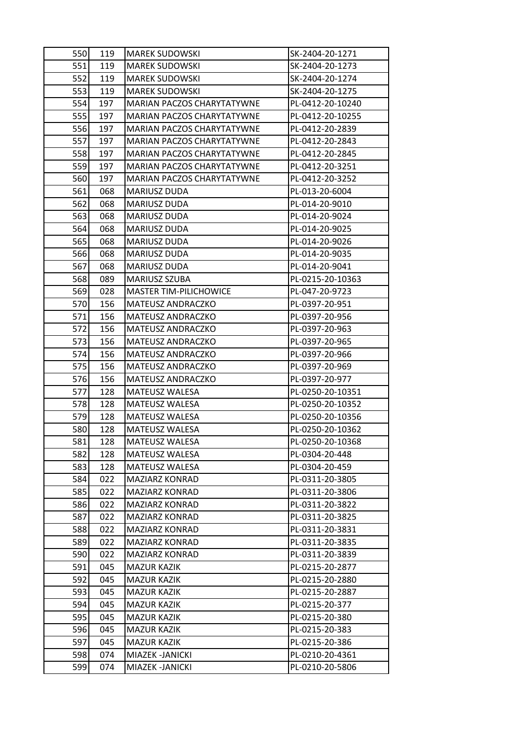| 550 | 119 | <b>MAREK SUDOWSKI</b>             | SK-2404-20-1271  |
|-----|-----|-----------------------------------|------------------|
| 551 | 119 | <b>MAREK SUDOWSKI</b>             | SK-2404-20-1273  |
| 552 | 119 | <b>MAREK SUDOWSKI</b>             | SK-2404-20-1274  |
| 553 | 119 | <b>MAREK SUDOWSKI</b>             | SK-2404-20-1275  |
| 554 | 197 | MARIAN PACZOS CHARYTATYWNE        | PL-0412-20-10240 |
| 555 | 197 | MARIAN PACZOS CHARYTATYWNE        | PL-0412-20-10255 |
| 556 | 197 | MARIAN PACZOS CHARYTATYWNE        | PL-0412-20-2839  |
| 557 | 197 | <b>MARIAN PACZOS CHARYTATYWNE</b> | PL-0412-20-2843  |
| 558 | 197 | MARIAN PACZOS CHARYTATYWNE        | PL-0412-20-2845  |
| 559 | 197 | MARIAN PACZOS CHARYTATYWNE        | PL-0412-20-3251  |
| 560 | 197 | MARIAN PACZOS CHARYTATYWNE        | PL-0412-20-3252  |
| 561 | 068 | MARIUSZ DUDA                      | PL-013-20-6004   |
| 562 | 068 | MARIUSZ DUDA                      | PL-014-20-9010   |
| 563 | 068 | <b>MARIUSZ DUDA</b>               | PL-014-20-9024   |
| 564 | 068 | MARIUSZ DUDA                      | PL-014-20-9025   |
| 565 | 068 | MARIUSZ DUDA                      | PL-014-20-9026   |
| 566 | 068 | <b>MARIUSZ DUDA</b>               | PL-014-20-9035   |
| 567 | 068 | MARIUSZ DUDA                      | PL-014-20-9041   |
| 568 | 089 | MARIUSZ SZUBA                     | PL-0215-20-10363 |
| 569 | 028 | <b>MASTER TIM-PILICHOWICE</b>     | PL-047-20-9723   |
| 570 | 156 | MATEUSZ ANDRACZKO                 | PL-0397-20-951   |
| 571 | 156 | MATEUSZ ANDRACZKO                 | PL-0397-20-956   |
| 572 | 156 | MATEUSZ ANDRACZKO                 | PL-0397-20-963   |
| 573 | 156 | MATEUSZ ANDRACZKO                 | PL-0397-20-965   |
| 574 | 156 | MATEUSZ ANDRACZKO                 | PL-0397-20-966   |
| 575 | 156 | MATEUSZ ANDRACZKO                 | PL-0397-20-969   |
| 576 | 156 | MATEUSZ ANDRACZKO                 | PL-0397-20-977   |
| 577 | 128 | MATEUSZ WALESA                    | PL-0250-20-10351 |
| 578 | 128 | MATEUSZ WALESA                    | PL-0250-20-10352 |
| 579 | 128 | MATEUSZ WALESA                    | PL-0250-20-10356 |
| 580 | 128 | <b>MATEUSZ WALESA</b>             | PL-0250-20-10362 |
| 581 | 128 | MATEUSZ WALESA                    | PL-0250-20-10368 |
| 582 | 128 | MATEUSZ WALESA                    | PL-0304-20-448   |
| 583 | 128 | MATEUSZ WALESA                    | PL-0304-20-459   |
| 584 | 022 | <b>MAZIARZ KONRAD</b>             | PL-0311-20-3805  |
| 585 | 022 | <b>MAZIARZ KONRAD</b>             | PL-0311-20-3806  |
| 586 | 022 | <b>MAZIARZ KONRAD</b>             | PL-0311-20-3822  |
| 587 | 022 | <b>MAZIARZ KONRAD</b>             | PL-0311-20-3825  |
| 588 | 022 | <b>MAZIARZ KONRAD</b>             | PL-0311-20-3831  |
| 589 | 022 | <b>MAZIARZ KONRAD</b>             | PL-0311-20-3835  |
| 590 | 022 | MAZIARZ KONRAD                    | PL-0311-20-3839  |
| 591 | 045 | <b>MAZUR KAZIK</b>                | PL-0215-20-2877  |
| 592 | 045 | <b>MAZUR KAZIK</b>                | PL-0215-20-2880  |
| 593 | 045 | <b>MAZUR KAZIK</b>                | PL-0215-20-2887  |
| 594 | 045 | <b>MAZUR KAZIK</b>                | PL-0215-20-377   |
| 595 | 045 | <b>MAZUR KAZIK</b>                | PL-0215-20-380   |
| 596 | 045 | <b>MAZUR KAZIK</b>                | PL-0215-20-383   |
| 597 | 045 | <b>MAZUR KAZIK</b>                | PL-0215-20-386   |
| 598 | 074 | MIAZEK -JANICKI                   | PL-0210-20-4361  |
| 599 | 074 | MIAZEK - JANICKI                  | PL-0210-20-5806  |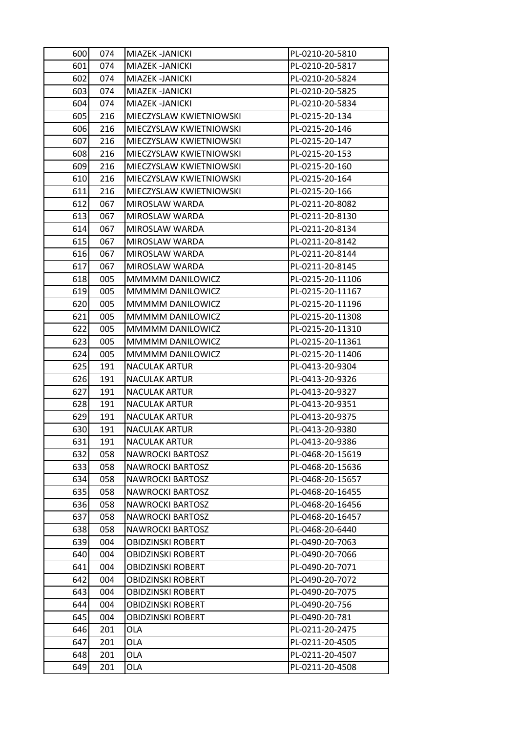| 600 | 074 | MIAZEK - JANICKI         | PL-0210-20-5810  |
|-----|-----|--------------------------|------------------|
| 601 | 074 | MIAZEK -JANICKI          | PL-0210-20-5817  |
| 602 | 074 | MIAZEK - JANICKI         | PL-0210-20-5824  |
| 603 | 074 | MIAZEK -JANICKI          | PL-0210-20-5825  |
| 604 | 074 | MIAZEK -JANICKI          | PL-0210-20-5834  |
| 605 | 216 | MIECZYSLAW KWIETNIOWSKI  | PL-0215-20-134   |
| 606 | 216 | MIECZYSLAW KWIETNIOWSKI  | PL-0215-20-146   |
| 607 | 216 | MIECZYSLAW KWIETNIOWSKI  | PL-0215-20-147   |
| 608 | 216 | MIECZYSLAW KWIETNIOWSKI  | PL-0215-20-153   |
| 609 | 216 | MIECZYSLAW KWIETNIOWSKI  | PL-0215-20-160   |
| 610 | 216 | MIECZYSLAW KWIETNIOWSKI  | PL-0215-20-164   |
| 611 | 216 | MIECZYSLAW KWIETNIOWSKI  | PL-0215-20-166   |
| 612 | 067 | MIROSLAW WARDA           | PL-0211-20-8082  |
| 613 | 067 | MIROSLAW WARDA           | PL-0211-20-8130  |
| 614 | 067 | MIROSLAW WARDA           | PL-0211-20-8134  |
| 615 | 067 | MIROSLAW WARDA           | PL-0211-20-8142  |
| 616 | 067 | MIROSLAW WARDA           | PL-0211-20-8144  |
| 617 | 067 | MIROSLAW WARDA           | PL-0211-20-8145  |
| 618 | 005 | MMMMM DANILOWICZ         | PL-0215-20-11106 |
| 619 | 005 | MMMMM DANILOWICZ         | PL-0215-20-11167 |
| 620 | 005 | <b>MMMMM DANILOWICZ</b>  | PL-0215-20-11196 |
| 621 | 005 | MMMMM DANILOWICZ         | PL-0215-20-11308 |
| 622 | 005 | MMMMM DANILOWICZ         | PL-0215-20-11310 |
| 623 | 005 | MMMMM DANILOWICZ         | PL-0215-20-11361 |
| 624 | 005 | MMMMM DANILOWICZ         | PL-0215-20-11406 |
| 625 | 191 | <b>NACULAK ARTUR</b>     | PL-0413-20-9304  |
| 626 | 191 | <b>NACULAK ARTUR</b>     | PL-0413-20-9326  |
| 627 | 191 | <b>NACULAK ARTUR</b>     | PL-0413-20-9327  |
| 628 | 191 | <b>NACULAK ARTUR</b>     | PL-0413-20-9351  |
| 629 | 191 | <b>NACULAK ARTUR</b>     | PL-0413-20-9375  |
| 630 | 191 | <b>NACULAK ARTUR</b>     | PL-0413-20-9380  |
| 631 | 191 | <b>NACULAK ARTUR</b>     | PL-0413-20-9386  |
| 632 | 058 | <b>NAWROCKI BARTOSZ</b>  | PL-0468-20-15619 |
| 633 | 058 | <b>NAWROCKI BARTOSZ</b>  | PL-0468-20-15636 |
| 634 | 058 | NAWROCKI BARTOSZ         | PL-0468-20-15657 |
| 635 | 058 | <b>NAWROCKI BARTOSZ</b>  | PL-0468-20-16455 |
| 636 | 058 | <b>NAWROCKI BARTOSZ</b>  | PL-0468-20-16456 |
| 637 | 058 | <b>NAWROCKI BARTOSZ</b>  | PL-0468-20-16457 |
| 638 | 058 | <b>NAWROCKI BARTOSZ</b>  | PL-0468-20-6440  |
| 639 | 004 | <b>OBIDZINSKI ROBERT</b> | PL-0490-20-7063  |
| 640 | 004 | <b>OBIDZINSKI ROBERT</b> | PL-0490-20-7066  |
| 641 | 004 | <b>OBIDZINSKI ROBERT</b> | PL-0490-20-7071  |
| 642 | 004 | <b>OBIDZINSKI ROBERT</b> | PL-0490-20-7072  |
| 643 | 004 | <b>OBIDZINSKI ROBERT</b> | PL-0490-20-7075  |
| 644 | 004 | <b>OBIDZINSKI ROBERT</b> | PL-0490-20-756   |
| 645 | 004 | <b>OBIDZINSKI ROBERT</b> | PL-0490-20-781   |
| 646 | 201 | <b>OLA</b>               | PL-0211-20-2475  |
| 647 | 201 | <b>OLA</b>               | PL-0211-20-4505  |
| 648 | 201 | <b>OLA</b>               | PL-0211-20-4507  |
| 649 | 201 | OLA                      | PL-0211-20-4508  |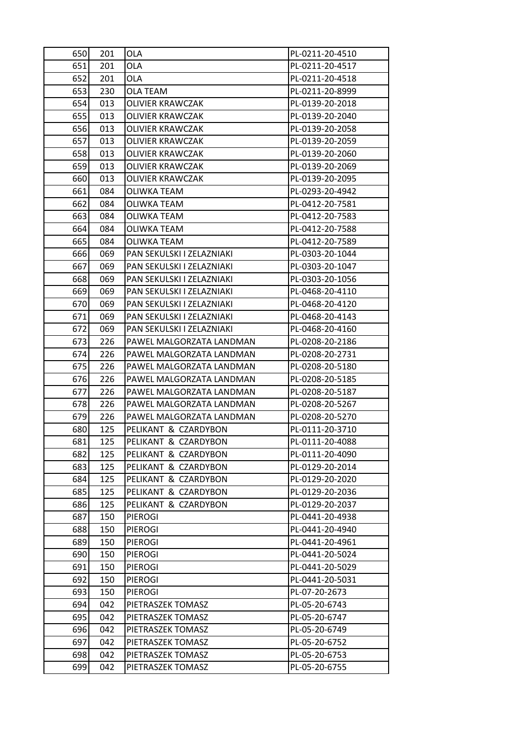| 650 | 201 | <b>OLA</b>                | PL-0211-20-4510 |
|-----|-----|---------------------------|-----------------|
| 651 | 201 | <b>OLA</b>                | PL-0211-20-4517 |
| 652 | 201 | <b>OLA</b>                | PL-0211-20-4518 |
| 653 | 230 | <b>OLA TEAM</b>           | PL-0211-20-8999 |
| 654 | 013 | <b>OLIVIER KRAWCZAK</b>   | PL-0139-20-2018 |
| 655 | 013 | OLIVIER KRAWCZAK          | PL-0139-20-2040 |
| 656 | 013 | <b>OLIVIER KRAWCZAK</b>   | PL-0139-20-2058 |
| 657 | 013 | OLIVIER KRAWCZAK          | PL-0139-20-2059 |
| 658 | 013 | <b>OLIVIER KRAWCZAK</b>   | PL-0139-20-2060 |
| 659 | 013 | <b>OLIVIER KRAWCZAK</b>   | PL-0139-20-2069 |
| 660 | 013 | <b>OLIVIER KRAWCZAK</b>   | PL-0139-20-2095 |
| 661 | 084 | OLIWKA TEAM               | PL-0293-20-4942 |
| 662 | 084 | OLIWKA TEAM               | PL-0412-20-7581 |
| 663 | 084 | OLIWKA TEAM               | PL-0412-20-7583 |
| 664 | 084 | OLIWKA TEAM               | PL-0412-20-7588 |
| 665 | 084 | OLIWKA TEAM               | PL-0412-20-7589 |
| 666 | 069 | PAN SEKULSKI I ZELAZNIAKI | PL-0303-20-1044 |
| 667 | 069 | PAN SEKULSKI I ZELAZNIAKI | PL-0303-20-1047 |
| 668 | 069 | PAN SEKULSKI I ZELAZNIAKI | PL-0303-20-1056 |
| 669 | 069 | PAN SEKULSKI I ZELAZNIAKI | PL-0468-20-4110 |
| 670 | 069 | PAN SEKULSKI I ZELAZNIAKI | PL-0468-20-4120 |
| 671 | 069 | PAN SEKULSKI I ZELAZNIAKI | PL-0468-20-4143 |
| 672 | 069 | PAN SEKULSKI I ZELAZNIAKI | PL-0468-20-4160 |
| 673 | 226 | PAWEL MALGORZATA LANDMAN  | PL-0208-20-2186 |
| 674 | 226 | PAWEL MALGORZATA LANDMAN  | PL-0208-20-2731 |
| 675 | 226 | PAWEL MALGORZATA LANDMAN  | PL-0208-20-5180 |
| 676 | 226 | PAWEL MALGORZATA LANDMAN  | PL-0208-20-5185 |
| 677 | 226 | PAWEL MALGORZATA LANDMAN  | PL-0208-20-5187 |
| 678 | 226 | PAWEL MALGORZATA LANDMAN  | PL-0208-20-5267 |
| 679 | 226 | PAWEL MALGORZATA LANDMAN  | PL-0208-20-5270 |
| 680 | 125 | PELIKANT & CZARDYBON      | PL-0111-20-3710 |
| 681 | 125 | PELIKANT & CZARDYBON      | PL-0111-20-4088 |
| 682 | 125 | PELIKANT & CZARDYBON      | PL-0111-20-4090 |
| 683 | 125 | PELIKANT & CZARDYBON      | PL-0129-20-2014 |
| 684 | 125 | PELIKANT & CZARDYBON      | PL-0129-20-2020 |
| 685 | 125 | PELIKANT & CZARDYBON      | PL-0129-20-2036 |
| 686 | 125 | PELIKANT & CZARDYBON      | PL-0129-20-2037 |
| 687 | 150 | <b>PIEROGI</b>            | PL-0441-20-4938 |
| 688 | 150 | <b>PIEROGI</b>            | PL-0441-20-4940 |
| 689 | 150 | <b>PIEROGI</b>            | PL-0441-20-4961 |
| 690 | 150 | <b>PIEROGI</b>            | PL-0441-20-5024 |
| 691 | 150 | <b>PIEROGI</b>            | PL-0441-20-5029 |
| 692 | 150 | <b>PIEROGI</b>            | PL-0441-20-5031 |
| 693 | 150 | <b>PIEROGI</b>            | PL-07-20-2673   |
| 694 | 042 | PIETRASZEK TOMASZ         | PL-05-20-6743   |
| 695 | 042 | PIETRASZEK TOMASZ         | PL-05-20-6747   |
| 696 | 042 | PIETRASZEK TOMASZ         | PL-05-20-6749   |
| 697 | 042 | PIETRASZEK TOMASZ         | PL-05-20-6752   |
| 698 | 042 | PIETRASZEK TOMASZ         | PL-05-20-6753   |
| 699 | 042 | PIETRASZEK TOMASZ         | PL-05-20-6755   |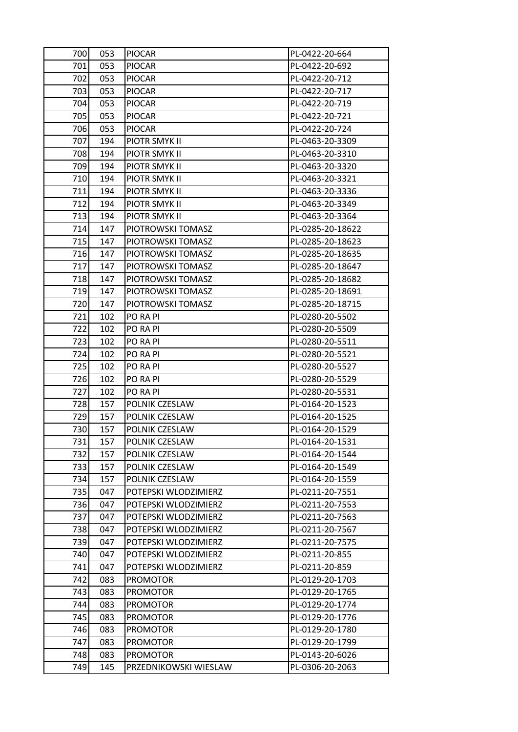| 700 | 053 | <b>PIOCAR</b>         | PL-0422-20-664   |
|-----|-----|-----------------------|------------------|
| 701 | 053 | <b>PIOCAR</b>         | PL-0422-20-692   |
| 702 | 053 | <b>PIOCAR</b>         | PL-0422-20-712   |
| 703 | 053 | <b>PIOCAR</b>         | PL-0422-20-717   |
| 704 | 053 | <b>PIOCAR</b>         | PL-0422-20-719   |
| 705 | 053 | <b>PIOCAR</b>         | PL-0422-20-721   |
| 706 | 053 | <b>PIOCAR</b>         | PL-0422-20-724   |
| 707 | 194 | PIOTR SMYK II         | PL-0463-20-3309  |
| 708 | 194 | PIOTR SMYK II         | PL-0463-20-3310  |
| 709 | 194 | PIOTR SMYK II         | PL-0463-20-3320  |
| 710 | 194 | PIOTR SMYK II         | PL-0463-20-3321  |
| 711 | 194 | PIOTR SMYK II         | PL-0463-20-3336  |
| 712 | 194 | PIOTR SMYK II         | PL-0463-20-3349  |
| 713 | 194 | PIOTR SMYK II         | PL-0463-20-3364  |
| 714 | 147 | PIOTROWSKI TOMASZ     | PL-0285-20-18622 |
| 715 | 147 | PIOTROWSKI TOMASZ     | PL-0285-20-18623 |
| 716 | 147 | PIOTROWSKI TOMASZ     | PL-0285-20-18635 |
| 717 | 147 | PIOTROWSKI TOMASZ     | PL-0285-20-18647 |
| 718 | 147 | PIOTROWSKI TOMASZ     | PL-0285-20-18682 |
| 719 | 147 | PIOTROWSKI TOMASZ     | PL-0285-20-18691 |
| 720 | 147 | PIOTROWSKI TOMASZ     | PL-0285-20-18715 |
| 721 | 102 | PO RA PI              | PL-0280-20-5502  |
| 722 | 102 | PO RA PI              | PL-0280-20-5509  |
| 723 | 102 | PO RA PI              | PL-0280-20-5511  |
| 724 | 102 | PO RA PI              | PL-0280-20-5521  |
| 725 | 102 | PO RA PI              | PL-0280-20-5527  |
| 726 | 102 | PO RA PI              | PL-0280-20-5529  |
| 727 | 102 | PO RA PI              | PL-0280-20-5531  |
| 728 | 157 | POLNIK CZESLAW        | PL-0164-20-1523  |
| 729 | 157 | POLNIK CZESLAW        | PL-0164-20-1525  |
| 730 | 157 | POLNIK CZESLAW        | PL-0164-20-1529  |
| 731 | 157 | POLNIK CZESLAW        | PL-0164-20-1531  |
| 732 | 157 | POLNIK CZESLAW        | PL-0164-20-1544  |
| 733 | 157 | POLNIK CZESLAW        | PL-0164-20-1549  |
| 734 | 157 | POLNIK CZESLAW        | PL-0164-20-1559  |
| 735 | 047 | POTEPSKI WLODZIMIERZ  | PL-0211-20-7551  |
| 736 | 047 | POTEPSKI WLODZIMIERZ  | PL-0211-20-7553  |
| 737 | 047 | POTEPSKI WLODZIMIERZ  | PL-0211-20-7563  |
| 738 | 047 | POTEPSKI WLODZIMIERZ  | PL-0211-20-7567  |
| 739 | 047 | POTEPSKI WLODZIMIERZ  | PL-0211-20-7575  |
| 740 | 047 | POTEPSKI WLODZIMIERZ  | PL-0211-20-855   |
| 741 | 047 | POTEPSKI WLODZIMIERZ  | PL-0211-20-859   |
| 742 | 083 | <b>PROMOTOR</b>       | PL-0129-20-1703  |
| 743 | 083 | <b>PROMOTOR</b>       | PL-0129-20-1765  |
| 744 | 083 | <b>PROMOTOR</b>       | PL-0129-20-1774  |
| 745 | 083 | <b>PROMOTOR</b>       | PL-0129-20-1776  |
| 746 | 083 | <b>PROMOTOR</b>       | PL-0129-20-1780  |
| 747 | 083 | <b>PROMOTOR</b>       | PL-0129-20-1799  |
| 748 | 083 | <b>PROMOTOR</b>       | PL-0143-20-6026  |
| 749 | 145 | PRZEDNIKOWSKI WIESLAW | PL-0306-20-2063  |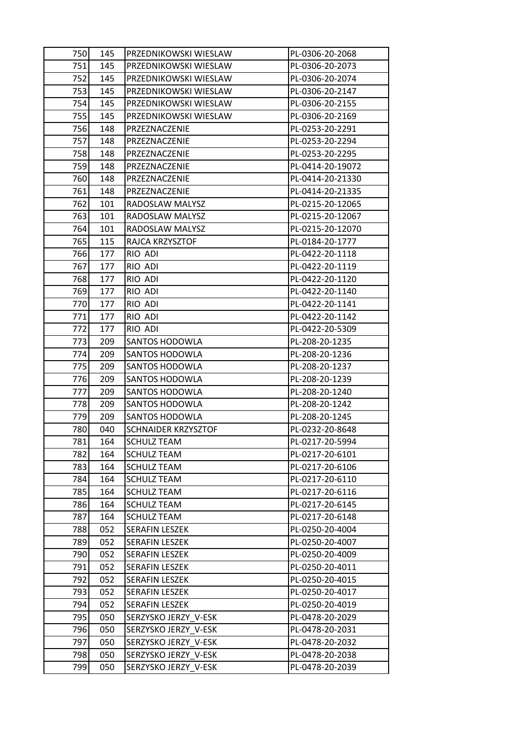| 750 <b> </b> | 145 | PRZEDNIKOWSKI WIESLAW      | PL-0306-20-2068  |
|--------------|-----|----------------------------|------------------|
| 751          | 145 | PRZEDNIKOWSKI WIESLAW      | PL-0306-20-2073  |
| 752          | 145 | PRZEDNIKOWSKI WIESLAW      | PL-0306-20-2074  |
| 753          | 145 | PRZEDNIKOWSKI WIESLAW      | PL-0306-20-2147  |
| 754          | 145 | PRZEDNIKOWSKI WIESLAW      | PL-0306-20-2155  |
| 755          | 145 | PRZEDNIKOWSKI WIESLAW      | PL-0306-20-2169  |
| 756          | 148 | PRZEZNACZENIE              | PL-0253-20-2291  |
| 757          | 148 | PRZEZNACZENIE              | PL-0253-20-2294  |
| 758          | 148 | PRZEZNACZENIE              | PL-0253-20-2295  |
| 759          | 148 | PRZEZNACZENIE              | PL-0414-20-19072 |
| 760          | 148 | PRZEZNACZENIE              | PL-0414-20-21330 |
| 761          | 148 | PRZEZNACZENIE              | PL-0414-20-21335 |
| 762          | 101 | RADOSLAW MALYSZ            | PL-0215-20-12065 |
| 763          | 101 | RADOSLAW MALYSZ            | PL-0215-20-12067 |
| 764          | 101 | RADOSLAW MALYSZ            | PL-0215-20-12070 |
| 765          | 115 | RAJCA KRZYSZTOF            | PL-0184-20-1777  |
| 766          | 177 | RIO ADI                    | PL-0422-20-1118  |
| 767          | 177 | RIO ADI                    | PL-0422-20-1119  |
| 768          | 177 | RIO ADI                    | PL-0422-20-1120  |
| 769          | 177 | RIO ADI                    | PL-0422-20-1140  |
| 770          | 177 | RIO ADI                    | PL-0422-20-1141  |
| 771          | 177 | RIO ADI                    | PL-0422-20-1142  |
| 7721         | 177 | RIO ADI                    | PL-0422-20-5309  |
| 773          | 209 | SANTOS HODOWLA             | PL-208-20-1235   |
| 774          | 209 | SANTOS HODOWLA             | PL-208-20-1236   |
| 775          | 209 | SANTOS HODOWLA             | PL-208-20-1237   |
| 776          | 209 | <b>SANTOS HODOWLA</b>      | PL-208-20-1239   |
| 777          | 209 | SANTOS HODOWLA             | PL-208-20-1240   |
| 778          | 209 | SANTOS HODOWLA             | PL-208-20-1242   |
| 779          | 209 | <b>SANTOS HODOWLA</b>      | PL-208-20-1245   |
| 780          | 040 | <b>SCHNAIDER KRZYSZTOF</b> | PL-0232-20-8648  |
| 781          | 164 | <b>SCHULZ TEAM</b>         | PL-0217-20-5994  |
| 782          | 164 | <b>SCHULZ TEAM</b>         | PL-0217-20-6101  |
| 783          | 164 | <b>SCHULZ TEAM</b>         | PL-0217-20-6106  |
| 784          | 164 | <b>SCHULZ TEAM</b>         | PL-0217-20-6110  |
| 785          | 164 | <b>SCHULZ TEAM</b>         | PL-0217-20-6116  |
| 786          | 164 | <b>SCHULZ TEAM</b>         | PL-0217-20-6145  |
| 787          | 164 | <b>SCHULZ TEAM</b>         | PL-0217-20-6148  |
| 788          | 052 | SERAFIN LESZEK             | PL-0250-20-4004  |
| 789          | 052 | SERAFIN LESZEK             | PL-0250-20-4007  |
| 790          | 052 | SERAFIN LESZEK             | PL-0250-20-4009  |
| 791          | 052 | <b>SERAFIN LESZEK</b>      | PL-0250-20-4011  |
| 792          | 052 | <b>SERAFIN LESZEK</b>      | PL-0250-20-4015  |
| 793          | 052 | SERAFIN LESZEK             | PL-0250-20-4017  |
| 794          | 052 | SERAFIN LESZEK             | PL-0250-20-4019  |
| 795          | 050 | SERZYSKO JERZY V-ESK       | PL-0478-20-2029  |
| 796          | 050 | SERZYSKO JERZY_V-ESK       | PL-0478-20-2031  |
| 797          | 050 | SERZYSKO JERZY V-ESK       | PL-0478-20-2032  |
| 798          | 050 | SERZYSKO JERZY V-ESK       | PL-0478-20-2038  |
| 799          | 050 | SERZYSKO JERZY V-ESK       | PL-0478-20-2039  |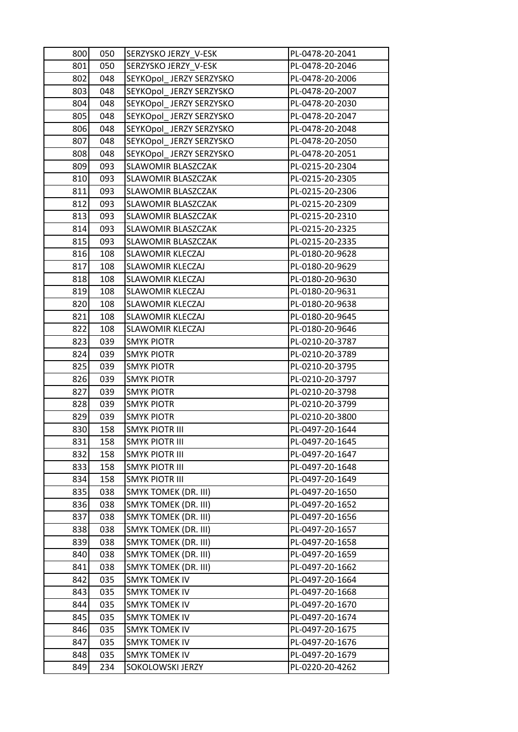| 800 | 050 | SERZYSKO JERZY V-ESK        | PL-0478-20-2041 |
|-----|-----|-----------------------------|-----------------|
| 801 | 050 | SERZYSKO JERZY V-ESK        | PL-0478-20-2046 |
| 802 | 048 | SEYKOpol_JERZY SERZYSKO     | PL-0478-20-2006 |
| 803 | 048 | SEYKOpol JERZY SERZYSKO     | PL-0478-20-2007 |
| 804 | 048 | SEYKOpol JERZY SERZYSKO     | PL-0478-20-2030 |
| 805 | 048 | SEYKOpol_JERZY SERZYSKO     | PL-0478-20-2047 |
| 806 | 048 | SEYKOpol_JERZY SERZYSKO     | PL-0478-20-2048 |
| 807 | 048 | SEYKOpol JERZY SERZYSKO     | PL-0478-20-2050 |
| 808 | 048 | SEYKOpol JERZY SERZYSKO     | PL-0478-20-2051 |
| 809 | 093 | SLAWOMIR BLASZCZAK          | PL-0215-20-2304 |
| 810 | 093 | SLAWOMIR BLASZCZAK          | PL-0215-20-2305 |
| 811 | 093 | SLAWOMIR BLASZCZAK          | PL-0215-20-2306 |
| 812 | 093 | SLAWOMIR BLASZCZAK          | PL-0215-20-2309 |
| 813 | 093 | SLAWOMIR BLASZCZAK          | PL-0215-20-2310 |
| 814 | 093 | <b>SLAWOMIR BLASZCZAK</b>   | PL-0215-20-2325 |
| 815 | 093 | SLAWOMIR BLASZCZAK          | PL-0215-20-2335 |
| 816 | 108 | <b>SLAWOMIR KLECZAJ</b>     | PL-0180-20-9628 |
| 817 | 108 | <b>SLAWOMIR KLECZAJ</b>     | PL-0180-20-9629 |
| 818 | 108 | <b>SLAWOMIR KLECZAJ</b>     | PL-0180-20-9630 |
| 819 | 108 | SLAWOMIR KLECZAJ            | PL-0180-20-9631 |
| 820 | 108 | <b>SLAWOMIR KLECZAJ</b>     | PL-0180-20-9638 |
| 821 | 108 | SLAWOMIR KLECZAJ            | PL-0180-20-9645 |
| 822 | 108 | <b>SLAWOMIR KLECZAJ</b>     | PL-0180-20-9646 |
| 823 | 039 | <b>SMYK PIOTR</b>           | PL-0210-20-3787 |
| 824 | 039 | <b>SMYK PIOTR</b>           | PL-0210-20-3789 |
| 825 | 039 | <b>SMYK PIOTR</b>           | PL-0210-20-3795 |
| 826 | 039 | <b>SMYK PIOTR</b>           | PL-0210-20-3797 |
| 827 | 039 | <b>SMYK PIOTR</b>           | PL-0210-20-3798 |
| 828 | 039 | <b>SMYK PIOTR</b>           | PL-0210-20-3799 |
| 829 | 039 | <b>SMYK PIOTR</b>           | PL-0210-20-3800 |
| 830 | 158 | <b>SMYK PIOTR III</b>       | PL-0497-20-1644 |
| 831 | 158 | <b>SMYK PIOTR III</b>       | PL-0497-20-1645 |
| 832 | 158 | SMYK PIOTR III              | PL-0497-20-1647 |
| 833 | 158 | <b>SMYK PIOTR III</b>       | PL-0497-20-1648 |
| 834 | 158 | <b>SMYK PIOTR III</b>       | PL-0497-20-1649 |
| 835 | 038 | <b>SMYK TOMEK (DR. III)</b> | PL-0497-20-1650 |
| 836 | 038 | <b>SMYK TOMEK (DR. III)</b> | PL-0497-20-1652 |
| 837 | 038 | SMYK TOMEK (DR. III)        | PL-0497-20-1656 |
| 838 | 038 | <b>SMYK TOMEK (DR. III)</b> | PL-0497-20-1657 |
| 839 | 038 | <b>SMYK TOMEK (DR. III)</b> | PL-0497-20-1658 |
| 840 | 038 | SMYK TOMEK (DR. III)        | PL-0497-20-1659 |
| 841 | 038 | <b>SMYK TOMEK (DR. III)</b> | PL-0497-20-1662 |
| 842 | 035 | <b>SMYK TOMEK IV</b>        | PL-0497-20-1664 |
| 843 | 035 | <b>SMYK TOMEK IV</b>        | PL-0497-20-1668 |
| 844 | 035 | <b>SMYK TOMEK IV</b>        | PL-0497-20-1670 |
| 845 | 035 | <b>SMYK TOMEK IV</b>        | PL-0497-20-1674 |
| 846 | 035 | <b>SMYK TOMEK IV</b>        | PL-0497-20-1675 |
| 847 | 035 | <b>SMYK TOMEK IV</b>        | PL-0497-20-1676 |
| 848 | 035 | <b>SMYK TOMEK IV</b>        | PL-0497-20-1679 |
| 849 | 234 | SOKOLOWSKI JERZY            | PL-0220-20-4262 |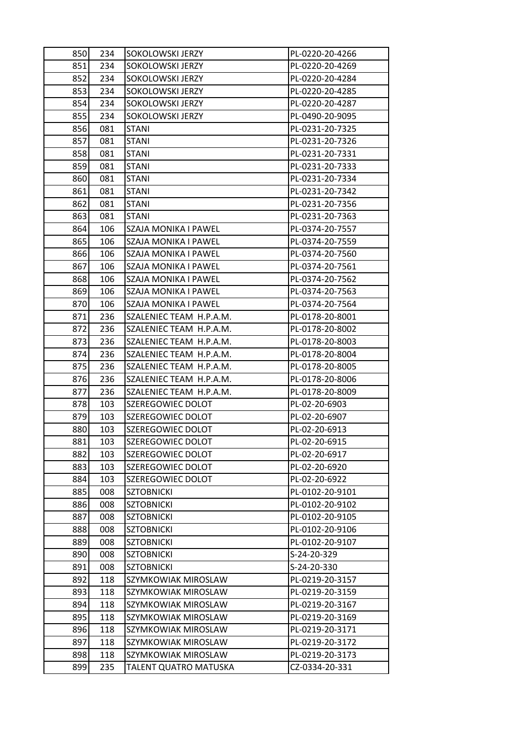| 850 | 234 | <b>SOKOLOWSKI JERZY</b> | PL-0220-20-4266 |
|-----|-----|-------------------------|-----------------|
| 851 | 234 | SOKOLOWSKI JERZY        | PL-0220-20-4269 |
| 852 | 234 | SOKOLOWSKI JERZY        | PL-0220-20-4284 |
| 853 | 234 | SOKOLOWSKI JERZY        | PL-0220-20-4285 |
| 854 | 234 | SOKOLOWSKI JERZY        | PL-0220-20-4287 |
| 855 | 234 | SOKOLOWSKI JERZY        | PL-0490-20-9095 |
| 856 | 081 | <b>STANI</b>            | PL-0231-20-7325 |
| 857 | 081 | <b>STANI</b>            | PL-0231-20-7326 |
| 858 | 081 | <b>STANI</b>            | PL-0231-20-7331 |
| 859 | 081 | <b>STANI</b>            | PL-0231-20-7333 |
| 860 | 081 | <b>STANI</b>            | PL-0231-20-7334 |
| 861 | 081 | <b>STANI</b>            | PL-0231-20-7342 |
| 862 | 081 | <b>STANI</b>            | PL-0231-20-7356 |
| 863 | 081 | <b>STANI</b>            | PL-0231-20-7363 |
| 864 | 106 | SZAJA MONIKA I PAWEL    | PL-0374-20-7557 |
| 865 | 106 | SZAJA MONIKA I PAWEL    | PL-0374-20-7559 |
| 866 | 106 | SZAJA MONIKA I PAWEL    | PL-0374-20-7560 |
| 867 | 106 | SZAJA MONIKA I PAWEL    | PL-0374-20-7561 |
| 868 | 106 | SZAJA MONIKA I PAWEL    | PL-0374-20-7562 |
| 869 | 106 | SZAJA MONIKA I PAWEL    | PL-0374-20-7563 |
| 870 | 106 | SZAJA MONIKA I PAWEL    | PL-0374-20-7564 |
| 871 | 236 | SZALENIEC TEAM H.P.A.M. | PL-0178-20-8001 |
| 872 | 236 | SZALENIEC TEAM H.P.A.M. | PL-0178-20-8002 |
| 873 | 236 | SZALENIEC TEAM H.P.A.M. | PL-0178-20-8003 |
| 874 | 236 | SZALENIEC TEAM H.P.A.M. | PL-0178-20-8004 |
| 875 | 236 | SZALENIEC TEAM H.P.A.M. | PL-0178-20-8005 |
| 876 | 236 | SZALENIEC TEAM H.P.A.M. | PL-0178-20-8006 |
| 877 | 236 | SZALENIEC TEAM H.P.A.M. | PL-0178-20-8009 |
| 878 | 103 | SZEREGOWIEC DOLOT       | PL-02-20-6903   |
| 879 | 103 | SZEREGOWIEC DOLOT       | PL-02-20-6907   |
| 880 | 103 | SZEREGOWIEC DOLOT       | PL-02-20-6913   |
| 881 | 103 | SZEREGOWIEC DOLOT       | PL-02-20-6915   |
| 882 | 103 | SZEREGOWIEC DOLOT       | PL-02-20-6917   |
| 883 | 103 | SZEREGOWIEC DOLOT       | PL-02-20-6920   |
| 884 | 103 | SZEREGOWIEC DOLOT       | PL-02-20-6922   |
| 885 | 008 | <b>SZTOBNICKI</b>       | PL-0102-20-9101 |
| 886 | 008 | <b>SZTOBNICKI</b>       | PL-0102-20-9102 |
| 887 | 008 | <b>SZTOBNICKI</b>       | PL-0102-20-9105 |
| 888 | 008 | <b>SZTOBNICKI</b>       | PL-0102-20-9106 |
| 889 | 008 | <b>SZTOBNICKI</b>       | PL-0102-20-9107 |
| 890 | 008 | <b>SZTOBNICKI</b>       | S-24-20-329     |
| 891 | 008 | <b>SZTOBNICKI</b>       | S-24-20-330     |
| 892 | 118 | SZYMKOWIAK MIROSLAW     | PL-0219-20-3157 |
| 893 | 118 | SZYMKOWIAK MIROSLAW     | PL-0219-20-3159 |
| 894 | 118 | SZYMKOWIAK MIROSLAW     | PL-0219-20-3167 |
| 895 | 118 | SZYMKOWIAK MIROSLAW     | PL-0219-20-3169 |
| 896 | 118 | SZYMKOWIAK MIROSLAW     | PL-0219-20-3171 |
| 897 | 118 | SZYMKOWIAK MIROSLAW     | PL-0219-20-3172 |
| 898 | 118 | SZYMKOWIAK MIROSLAW     | PL-0219-20-3173 |
| 899 | 235 | TALENT QUATRO MATUSKA   | CZ-0334-20-331  |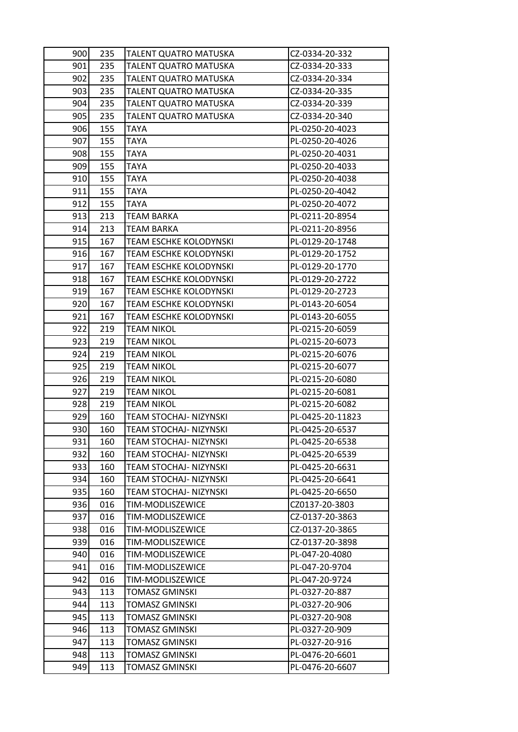| 900 | 235 | TALENT QUATRO MATUSKA         | CZ-0334-20-332   |
|-----|-----|-------------------------------|------------------|
| 901 | 235 | TALENT QUATRO MATUSKA         | CZ-0334-20-333   |
| 902 | 235 | TALENT QUATRO MATUSKA         | CZ-0334-20-334   |
| 903 | 235 | TALENT QUATRO MATUSKA         | CZ-0334-20-335   |
| 904 | 235 | TALENT QUATRO MATUSKA         | CZ-0334-20-339   |
| 905 | 235 | TALENT QUATRO MATUSKA         | CZ-0334-20-340   |
| 906 | 155 | TAYA                          | PL-0250-20-4023  |
| 907 | 155 | TAYA                          | PL-0250-20-4026  |
| 908 | 155 | TAYA                          | PL-0250-20-4031  |
| 909 | 155 | <b>TAYA</b>                   | PL-0250-20-4033  |
| 910 | 155 | TAYA                          | PL-0250-20-4038  |
| 911 | 155 | TAYA                          | PL-0250-20-4042  |
| 912 | 155 | TAYA                          | PL-0250-20-4072  |
| 913 | 213 | TEAM BARKA                    | PL-0211-20-8954  |
| 914 | 213 | <b>TEAM BARKA</b>             | PL-0211-20-8956  |
| 915 | 167 | TEAM ESCHKE KOLODYNSKI        | PL-0129-20-1748  |
| 916 | 167 | <b>TEAM ESCHKE KOLODYNSKI</b> | PL-0129-20-1752  |
| 917 | 167 | TEAM ESCHKE KOLODYNSKI        | PL-0129-20-1770  |
| 918 | 167 | TEAM ESCHKE KOLODYNSKI        | PL-0129-20-2722  |
| 919 | 167 | <b>TEAM ESCHKE KOLODYNSKI</b> | PL-0129-20-2723  |
| 920 | 167 | <b>TEAM ESCHKE KOLODYNSKI</b> | PL-0143-20-6054  |
| 921 | 167 | <b>TEAM ESCHKE KOLODYNSKI</b> | PL-0143-20-6055  |
| 922 | 219 | TEAM NIKOL                    | PL-0215-20-6059  |
| 923 | 219 | <b>TEAM NIKOL</b>             | PL-0215-20-6073  |
| 924 | 219 | <b>TEAM NIKOL</b>             | PL-0215-20-6076  |
| 925 | 219 | <b>TEAM NIKOL</b>             | PL-0215-20-6077  |
| 926 | 219 | <b>TEAM NIKOL</b>             | PL-0215-20-6080  |
| 927 | 219 | TEAM NIKOL                    | PL-0215-20-6081  |
| 928 | 219 | <b>TEAM NIKOL</b>             | PL-0215-20-6082  |
| 929 | 160 | TEAM STOCHAJ- NIZYNSKI        | PL-0425-20-11823 |
| 930 | 160 | <b>TEAM STOCHAJ- NIZYNSKI</b> | PL-0425-20-6537  |
| 931 | 160 | TEAM STOCHAJ- NIZYNSKI        | PL-0425-20-6538  |
| 932 | 160 | TEAM STOCHAJ- NIZYNSKI        | PL-0425-20-6539  |
| 933 | 160 | TEAM STOCHAJ- NIZYNSKI        | PL-0425-20-6631  |
| 934 | 160 | TEAM STOCHAJ- NIZYNSKI        | PL-0425-20-6641  |
| 935 | 160 | TEAM STOCHAJ- NIZYNSKI        | PL-0425-20-6650  |
| 936 | 016 | TIM-MODLISZEWICE              | CZ0137-20-3803   |
| 937 | 016 | TIM-MODLISZEWICE              | CZ-0137-20-3863  |
| 938 | 016 | TIM-MODLISZEWICE              | CZ-0137-20-3865  |
| 939 | 016 | TIM-MODLISZEWICE              | CZ-0137-20-3898  |
| 940 | 016 | TIM-MODLISZEWICE              | PL-047-20-4080   |
| 941 | 016 | TIM-MODLISZEWICE              | PL-047-20-9704   |
| 942 | 016 | TIM-MODLISZEWICE              | PL-047-20-9724   |
| 943 | 113 | <b>TOMASZ GMINSKI</b>         | PL-0327-20-887   |
| 944 | 113 | <b>TOMASZ GMINSKI</b>         | PL-0327-20-906   |
| 945 | 113 | TOMASZ GMINSKI                | PL-0327-20-908   |
| 946 | 113 | <b>TOMASZ GMINSKI</b>         | PL-0327-20-909   |
| 947 | 113 | TOMASZ GMINSKI                | PL-0327-20-916   |
| 948 | 113 | <b>TOMASZ GMINSKI</b>         | PL-0476-20-6601  |
| 949 | 113 | <b>TOMASZ GMINSKI</b>         | PL-0476-20-6607  |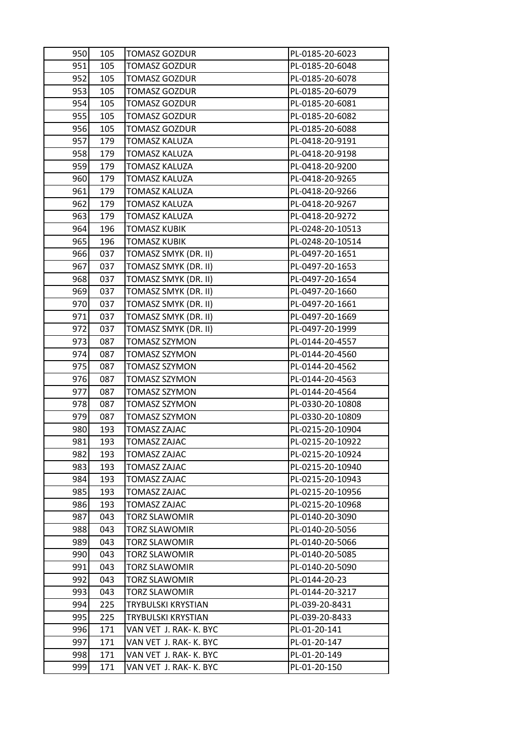| 950 | 105 | <b>TOMASZ GOZDUR</b>   | PL-0185-20-6023  |
|-----|-----|------------------------|------------------|
| 951 | 105 | <b>TOMASZ GOZDUR</b>   | PL-0185-20-6048  |
| 952 | 105 | <b>TOMASZ GOZDUR</b>   | PL-0185-20-6078  |
| 953 | 105 | <b>TOMASZ GOZDUR</b>   | PL-0185-20-6079  |
| 954 | 105 | <b>TOMASZ GOZDUR</b>   | PL-0185-20-6081  |
| 955 | 105 | <b>TOMASZ GOZDUR</b>   | PL-0185-20-6082  |
| 956 | 105 | <b>TOMASZ GOZDUR</b>   | PL-0185-20-6088  |
| 957 | 179 | TOMASZ KALUZA          | PL-0418-20-9191  |
| 958 | 179 | TOMASZ KALUZA          | PL-0418-20-9198  |
| 959 | 179 | <b>TOMASZ KALUZA</b>   | PL-0418-20-9200  |
| 960 | 179 | TOMASZ KALUZA          | PL-0418-20-9265  |
| 961 | 179 | <b>TOMASZ KALUZA</b>   | PL-0418-20-9266  |
| 962 | 179 | <b>TOMASZ KALUZA</b>   | PL-0418-20-9267  |
| 963 | 179 | TOMASZ KALUZA          | PL-0418-20-9272  |
| 964 | 196 | <b>TOMASZ KUBIK</b>    | PL-0248-20-10513 |
| 965 | 196 | TOMASZ KUBIK           | PL-0248-20-10514 |
| 966 | 037 | TOMASZ SMYK (DR. II)   | PL-0497-20-1651  |
| 967 | 037 | TOMASZ SMYK (DR. II)   | PL-0497-20-1653  |
| 968 | 037 | TOMASZ SMYK (DR. II)   | PL-0497-20-1654  |
| 969 | 037 | TOMASZ SMYK (DR. II)   | PL-0497-20-1660  |
| 970 | 037 | TOMASZ SMYK (DR. II)   | PL-0497-20-1661  |
| 971 | 037 | TOMASZ SMYK (DR. II)   | PL-0497-20-1669  |
| 972 | 037 | TOMASZ SMYK (DR. II)   | PL-0497-20-1999  |
| 973 | 087 | <b>TOMASZ SZYMON</b>   | PL-0144-20-4557  |
| 974 | 087 | <b>TOMASZ SZYMON</b>   | PL-0144-20-4560  |
| 975 | 087 | TOMASZ SZYMON          | PL-0144-20-4562  |
| 976 | 087 | <b>TOMASZ SZYMON</b>   | PL-0144-20-4563  |
| 977 | 087 | <b>TOMASZ SZYMON</b>   | PL-0144-20-4564  |
| 978 | 087 | <b>TOMASZ SZYMON</b>   | PL-0330-20-10808 |
| 979 | 087 | <b>TOMASZ SZYMON</b>   | PL-0330-20-10809 |
| 980 | 193 | TOMASZ ZAJAC           | PL-0215-20-10904 |
| 981 | 193 | <b>TOMASZ ZAJAC</b>    | PL-0215-20-10922 |
| 982 | 193 | <b>TOMASZ ZAJAC</b>    | PL-0215-20-10924 |
| 983 | 193 | TOMASZ ZAJAC           | PL-0215-20-10940 |
| 984 | 193 | TOMASZ ZAJAC           | PL-0215-20-10943 |
| 985 | 193 | TOMASZ ZAJAC           | PL-0215-20-10956 |
| 986 | 193 | <b>TOMASZ ZAJAC</b>    | PL-0215-20-10968 |
| 987 | 043 | TORZ SLAWOMIR          | PL-0140-20-3090  |
| 988 | 043 | <b>TORZ SLAWOMIR</b>   | PL-0140-20-5056  |
| 989 | 043 | TORZ SLAWOMIR          | PL-0140-20-5066  |
| 990 | 043 | TORZ SLAWOMIR          | PL-0140-20-5085  |
| 991 | 043 | <b>TORZ SLAWOMIR</b>   | PL-0140-20-5090  |
| 992 | 043 | TORZ SLAWOMIR          | PL-0144-20-23    |
| 993 | 043 | TORZ SLAWOMIR          | PL-0144-20-3217  |
| 994 | 225 | TRYBULSKI KRYSTIAN     | PL-039-20-8431   |
| 995 | 225 | TRYBULSKI KRYSTIAN     | PL-039-20-8433   |
| 996 | 171 | VAN VET J. RAK- K. BYC | PL-01-20-141     |
| 997 | 171 | VAN VET J. RAK- K. BYC | PL-01-20-147     |
| 998 | 171 | VAN VET J. RAK- K. BYC | PL-01-20-149     |
| 999 | 171 | VAN VET J. RAK- K. BYC | PL-01-20-150     |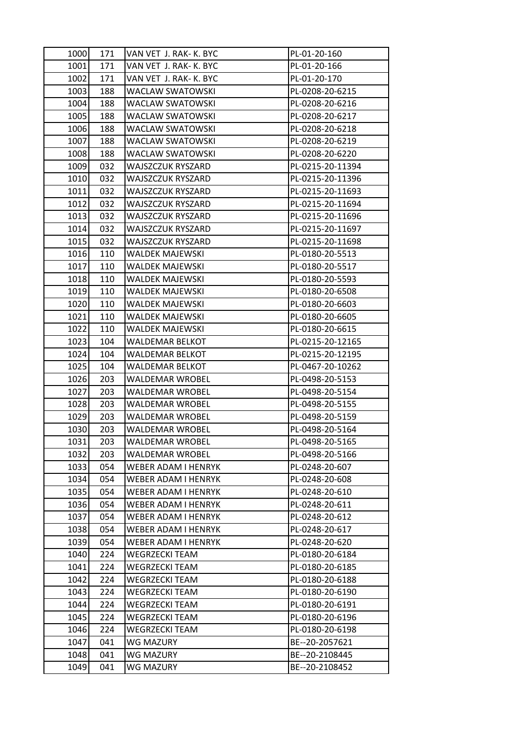| 1000 | 171 | VAN VET J. RAK- K. BYC     | PL-01-20-160     |
|------|-----|----------------------------|------------------|
| 1001 | 171 | VAN VET J. RAK- K. BYC     | PL-01-20-166     |
| 1002 | 171 | VAN VET J. RAK- K. BYC     | PL-01-20-170     |
| 1003 | 188 | WACLAW SWATOWSKI           | PL-0208-20-6215  |
| 1004 | 188 | <b>WACLAW SWATOWSKI</b>    | PL-0208-20-6216  |
| 1005 | 188 | WACLAW SWATOWSKI           | PL-0208-20-6217  |
| 1006 | 188 | WACLAW SWATOWSKI           | PL-0208-20-6218  |
| 1007 | 188 | WACLAW SWATOWSKI           | PL-0208-20-6219  |
| 1008 | 188 | WACLAW SWATOWSKI           | PL-0208-20-6220  |
| 1009 | 032 | <b>WAJSZCZUK RYSZARD</b>   | PL-0215-20-11394 |
| 1010 | 032 | WAJSZCZUK RYSZARD          | PL-0215-20-11396 |
| 1011 | 032 | WAJSZCZUK RYSZARD          | PL-0215-20-11693 |
| 1012 | 032 | <b>WAJSZCZUK RYSZARD</b>   | PL-0215-20-11694 |
| 1013 | 032 | WAJSZCZUK RYSZARD          | PL-0215-20-11696 |
| 1014 | 032 | <b>WAJSZCZUK RYSZARD</b>   | PL-0215-20-11697 |
| 1015 | 032 | WAJSZCZUK RYSZARD          | PL-0215-20-11698 |
| 1016 | 110 | <b>WALDEK MAJEWSKI</b>     | PL-0180-20-5513  |
| 1017 | 110 | <b>WALDEK MAJEWSKI</b>     | PL-0180-20-5517  |
| 1018 | 110 | <b>WALDEK MAJEWSKI</b>     | PL-0180-20-5593  |
| 1019 | 110 | <b>WALDEK MAJEWSKI</b>     | PL-0180-20-6508  |
| 1020 | 110 | WALDEK MAJEWSKI            | PL-0180-20-6603  |
| 1021 | 110 | <b>WALDEK MAJEWSKI</b>     | PL-0180-20-6605  |
| 1022 | 110 | <b>WALDEK MAJEWSKI</b>     | PL-0180-20-6615  |
| 1023 | 104 | WALDEMAR BELKOT            | PL-0215-20-12165 |
| 1024 | 104 | <b>WALDEMAR BELKOT</b>     | PL-0215-20-12195 |
| 1025 | 104 | WALDEMAR BELKOT            | PL-0467-20-10262 |
| 1026 | 203 | <b>WALDEMAR WROBEL</b>     | PL-0498-20-5153  |
| 1027 | 203 | <b>WALDEMAR WROBEL</b>     | PL-0498-20-5154  |
| 1028 | 203 | <b>WALDEMAR WROBEL</b>     | PL-0498-20-5155  |
| 1029 | 203 | <b>WALDEMAR WROBEL</b>     | PL-0498-20-5159  |
| 1030 | 203 | WALDEMAR WROBEL            | PL-0498-20-5164  |
| 1031 | 203 | <b>WALDEMAR WROBEL</b>     | PL-0498-20-5165  |
| 1032 | 203 | WALDEMAR WROBEL            | PL-0498-20-5166  |
| 1033 | 054 | WEBER ADAM I HENRYK        | PL-0248-20-607   |
| 1034 | 054 | <b>WEBER ADAM I HENRYK</b> | PL-0248-20-608   |
| 1035 | 054 | WEBER ADAM I HENRYK        | PL-0248-20-610   |
| 1036 | 054 | WEBER ADAM I HENRYK        | PL-0248-20-611   |
| 1037 | 054 | WEBER ADAM I HENRYK        | PL-0248-20-612   |
| 1038 | 054 | WEBER ADAM I HENRYK        | PL-0248-20-617   |
| 1039 | 054 | <b>WEBER ADAM I HENRYK</b> | PL-0248-20-620   |
| 1040 | 224 | WEGRZECKI TEAM             | PL-0180-20-6184  |
| 1041 | 224 | <b>WEGRZECKI TEAM</b>      | PL-0180-20-6185  |
| 1042 | 224 | WEGRZECKI TEAM             | PL-0180-20-6188  |
| 1043 | 224 | WEGRZECKI TEAM             | PL-0180-20-6190  |
| 1044 | 224 | <b>WEGRZECKI TEAM</b>      | PL-0180-20-6191  |
| 1045 | 224 | <b>WEGRZECKI TEAM</b>      | PL-0180-20-6196  |
| 1046 | 224 | <b>WEGRZECKI TEAM</b>      | PL-0180-20-6198  |
| 1047 | 041 | WG MAZURY                  | BE--20-2057621   |
| 1048 | 041 | WG MAZURY                  | BE--20-2108445   |
| 1049 | 041 | <b>WG MAZURY</b>           | BE--20-2108452   |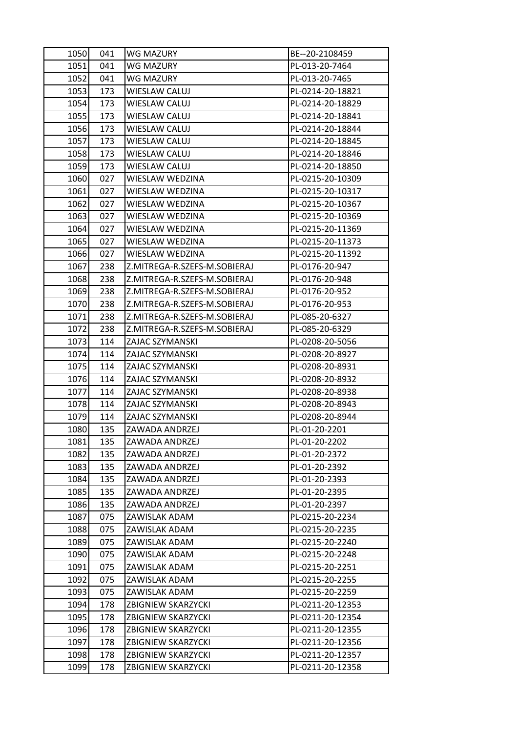| 1050 | 041 | <b>WG MAZURY</b>             | BE--20-2108459   |
|------|-----|------------------------------|------------------|
| 1051 | 041 | <b>WG MAZURY</b>             | PL-013-20-7464   |
| 1052 | 041 | WG MAZURY                    | PL-013-20-7465   |
| 1053 | 173 | WIESLAW CALUJ                | PL-0214-20-18821 |
| 1054 | 173 | WIESLAW CALUJ                | PL-0214-20-18829 |
| 1055 | 173 | WIESLAW CALUJ                | PL-0214-20-18841 |
| 1056 | 173 | WIESLAW CALUJ                | PL-0214-20-18844 |
| 1057 | 173 | WIESLAW CALUJ                | PL-0214-20-18845 |
| 1058 | 173 | WIESLAW CALUJ                | PL-0214-20-18846 |
| 1059 | 173 | WIESLAW CALUJ                | PL-0214-20-18850 |
| 1060 | 027 | WIESLAW WEDZINA              | PL-0215-20-10309 |
| 1061 | 027 | WIESLAW WEDZINA              | PL-0215-20-10317 |
| 1062 | 027 | WIESLAW WEDZINA              | PL-0215-20-10367 |
| 1063 | 027 | WIESLAW WEDZINA              | PL-0215-20-10369 |
| 1064 | 027 | WIESLAW WEDZINA              | PL-0215-20-11369 |
| 1065 | 027 | WIESLAW WEDZINA              | PL-0215-20-11373 |
| 1066 | 027 | WIESLAW WEDZINA              | PL-0215-20-11392 |
| 1067 | 238 | Z.MITREGA-R.SZEFS-M.SOBIERAJ | PL-0176-20-947   |
| 1068 | 238 | Z.MITREGA-R.SZEFS-M.SOBIERAJ | PL-0176-20-948   |
| 1069 | 238 | Z.MITREGA-R.SZEFS-M.SOBIERAJ | PL-0176-20-952   |
| 1070 | 238 | Z.MITREGA-R.SZEFS-M.SOBIERAJ | PL-0176-20-953   |
| 1071 | 238 | Z.MITREGA-R.SZEFS-M.SOBIERAJ | PL-085-20-6327   |
| 1072 | 238 | Z.MITREGA-R.SZEFS-M.SOBIERAJ | PL-085-20-6329   |
| 1073 | 114 | ZAJAC SZYMANSKI              | PL-0208-20-5056  |
| 1074 | 114 | ZAJAC SZYMANSKI              | PL-0208-20-8927  |
| 1075 | 114 | ZAJAC SZYMANSKI              | PL-0208-20-8931  |
| 1076 | 114 | ZAJAC SZYMANSKI              | PL-0208-20-8932  |
| 1077 | 114 | ZAJAC SZYMANSKI              | PL-0208-20-8938  |
| 1078 | 114 | ZAJAC SZYMANSKI              | PL-0208-20-8943  |
| 1079 | 114 | ZAJAC SZYMANSKI              | PL-0208-20-8944  |
| 1080 | 135 | ZAWADA ANDRZEJ               | PL-01-20-2201    |
| 1081 | 135 | ZAWADA ANDRZEJ               | PL-01-20-2202    |
| 1082 | 135 | ZAWADA ANDRZEJ               | PL-01-20-2372    |
| 1083 | 135 | ZAWADA ANDRZEJ               | PL-01-20-2392    |
| 1084 | 135 | ZAWADA ANDRZEJ               | PL-01-20-2393    |
| 1085 | 135 | ZAWADA ANDRZEJ               | PL-01-20-2395    |
| 1086 | 135 | ZAWADA ANDRZEJ               | PL-01-20-2397    |
| 1087 | 075 | ZAWISLAK ADAM                | PL-0215-20-2234  |
| 1088 | 075 | ZAWISLAK ADAM                | PL-0215-20-2235  |
| 1089 | 075 | ZAWISLAK ADAM                | PL-0215-20-2240  |
| 1090 | 075 | ZAWISLAK ADAM                | PL-0215-20-2248  |
| 1091 | 075 | ZAWISLAK ADAM                | PL-0215-20-2251  |
| 1092 | 075 | ZAWISLAK ADAM                | PL-0215-20-2255  |
| 1093 | 075 | ZAWISLAK ADAM                | PL-0215-20-2259  |
| 1094 | 178 | ZBIGNIEW SKARZYCKI           | PL-0211-20-12353 |
| 1095 | 178 | <b>ZBIGNIEW SKARZYCKI</b>    | PL-0211-20-12354 |
| 1096 | 178 | ZBIGNIEW SKARZYCKI           | PL-0211-20-12355 |
| 1097 | 178 | <b>ZBIGNIEW SKARZYCKI</b>    | PL-0211-20-12356 |
| 1098 | 178 | <b>ZBIGNIEW SKARZYCKI</b>    | PL-0211-20-12357 |
| 1099 | 178 | ZBIGNIEW SKARZYCKI           | PL-0211-20-12358 |